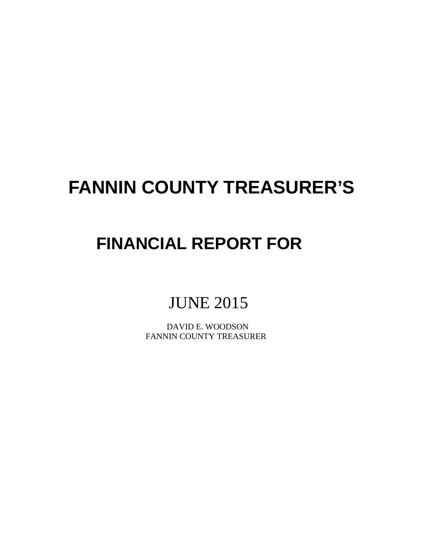# **FANNIN COUNTY TREASURER'S**

# **FINANCIAL REPORT FOR**

# JUNE 2015

 DAVID E. WOODSON FANNIN COUNTY TREASURER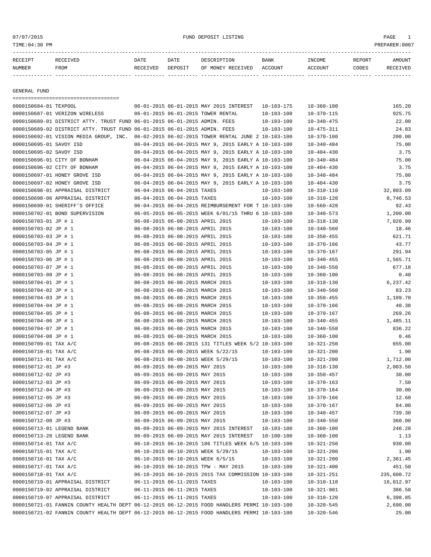### or of the set of the set of the set of the set of the set of the set of the set of the set of the set of the set of the set of the set of the set of the set of the set of the set of the set of the set of the set of the set

| RECEIPT | <b>RECEIVED</b> | DATE     | DATE    | DESCRIPTION       | <b>BANK</b> | INCOME  | REPORT | AMOUNT   |
|---------|-----------------|----------|---------|-------------------|-------------|---------|--------|----------|
| NUMBER  | <b>FROM</b>     | RECEIVED | DEPOSIT | OF MONEY RECEIVED | ACCOUNT     | ACCOUNT | CODES  | RECEIVED |
|         |                 |          |         |                   |             |         |        |          |

GENERAL FUND

| ====================================                                                         |                                                                  |                                                      |                                      |                  |                |
|----------------------------------------------------------------------------------------------|------------------------------------------------------------------|------------------------------------------------------|--------------------------------------|------------------|----------------|
| 0000150684-01 TEXPOOL                                                                        |                                                                  | 06-01-2015 06-01-2015 MAY 2015 INTEREST              | 10-103-175                           | $10 - 360 - 100$ | 165.20         |
| 0000150687-01 VERIZON WIRELESS                                                               |                                                                  | 06-01-2015 06-01-2015 TOWER RENTAL                   | $10 - 103 - 100$                     | $10 - 370 - 115$ | 925.75         |
| 0000150689-01 DISTRICT ATTY. TRUST FUND 06-01-2015 06-01-2015 ADMIN. FEES                    |                                                                  |                                                      | $10 - 103 - 100$                     | $10 - 340 - 475$ | 22.00          |
| 0000150689-02 DISTRICT ATTY. TRUST FUND 06-01-2015 06-01-2015 ADMIN. FEES                    |                                                                  |                                                      | $10 - 103 - 100$                     | $10 - 475 - 311$ | 24.83          |
| 0000150692-01 VISION MEDIA GROUP, INC.                                                       |                                                                  | 06-02-2015 06-02-2015 TOWER RENTAL JUNE 2 10-103-100 |                                      | $10 - 370 - 100$ | 200.00         |
| 0000150695-01 SAVOY ISD                                                                      |                                                                  | 06-04-2015 06-04-2015 MAY 9, 2015 EARLY A 10-103-100 |                                      | $10 - 340 - 484$ | 75.00          |
| 0000150695-02 SAVOY ISD                                                                      |                                                                  | 06-04-2015 06-04-2015 MAY 9, 2015 EARLY A 10-103-100 |                                      | $10 - 404 - 430$ | 3.75           |
| 0000150696-01 CITY OF BONHAM                                                                 |                                                                  | 06-04-2015 06-04-2015 MAY 9, 2015 EARLY A 10-103-100 |                                      | $10 - 340 - 484$ | 75.00          |
| 0000150696-02 CITY OF BONHAM                                                                 |                                                                  | 06-04-2015 06-04-2015 MAY 9, 2015 EARLY A 10-103-100 |                                      | $10 - 404 - 430$ | 3.75           |
| 0000150697-01 HONEY GROVE ISD                                                                |                                                                  | 06-04-2015 06-04-2015 MAY 9, 2015 EARLY A 10-103-100 |                                      | $10 - 340 - 484$ | 75.00          |
| 0000150697-02 HONEY GROVE ISD                                                                |                                                                  | 06-04-2015 06-04-2015 MAY 9, 2015 EARLY A 10-103-100 |                                      | $10 - 404 - 430$ | 3.75           |
| 0000150698-01 APPRAISAL DISTRICT                                                             | 06-04-2015 06-04-2015 TAXES                                      |                                                      | $10 - 103 - 100$                     | $10 - 310 - 110$ | 32,803.09      |
| 0000150698-06 APPRAISAL DISTRICT                                                             | 06-04-2015 06-04-2015 TAXES                                      |                                                      | $10 - 103 - 100$                     | $10 - 310 - 120$ | 8,746.53       |
| 0000150699-01 SHERIFF'S OFFICE                                                               |                                                                  | 06-04-2015 06-04-2015 REIMBURSEMENT FOR T 10-103-100 |                                      | $10 - 560 - 428$ | 92.43          |
| 0000150702-01 BOND SUPERVISION                                                               |                                                                  | 06-05-2015 06-05-2015 WEEK 6/01/15 THRU 6 10-103-100 |                                      | $10 - 340 - 573$ | 1,200.00       |
| 0000150703-01 JP # 1                                                                         | 06-08-2015 06-08-2015 APRIL 2015                                 |                                                      | 10-103-100                           | $10 - 318 - 130$ | 7,020.99       |
| 0000150703-02 JP # 1                                                                         | 06-08-2015 06-08-2015 APRIL 2015                                 |                                                      | 10-103-100                           | $10 - 340 - 560$ | 18.46          |
| 0000150703-03 JP # 1                                                                         | 06-08-2015 06-08-2015 APRIL 2015                                 |                                                      | $10 - 103 - 100$                     | $10 - 350 - 455$ | 621.71         |
| 0000150703-04 JP # 1                                                                         | 06-08-2015 06-08-2015 APRIL 2015                                 |                                                      | $10 - 103 - 100$                     | $10 - 370 - 166$ | 43.77          |
| 0000150703-05 JP # 1                                                                         | 06-08-2015 06-08-2015 APRIL 2015                                 |                                                      | 10-103-100                           | $10 - 370 - 167$ | 291.94         |
| 0000150703-06 JP # 1                                                                         | 06-08-2015 06-08-2015 APRIL 2015                                 |                                                      | $10 - 103 - 100$                     | $10 - 340 - 455$ | 1,565.71       |
| 0000150703-07 JP # 1                                                                         | 06-08-2015 06-08-2015 APRIL 2015                                 |                                                      | $10 - 103 - 100$                     | $10 - 340 - 550$ | 677.18         |
| 0000150703-08 JP # 1                                                                         | 06-08-2015 06-08-2015 APRIL 2015                                 |                                                      | $10 - 103 - 100$                     | $10 - 360 - 100$ | 0.40           |
| 0000150704-01 JP # 1                                                                         | 06-08-2015 06-08-2015 MARCH 2015                                 |                                                      | $10 - 103 - 100$                     | $10 - 318 - 130$ | 6,237.42       |
| 0000150704-02 JP # 1                                                                         | 06-08-2015 06-08-2015 MARCH 2015                                 |                                                      | $10 - 103 - 100$                     | $10 - 340 - 560$ | 83.23          |
| 0000150704-03 JP # 1                                                                         | 06-08-2015 06-08-2015 MARCH 2015                                 |                                                      | $10 - 103 - 100$                     | $10 - 350 - 455$ | 1,109.70       |
| 0000150704-04 JP # 1                                                                         | 06-08-2015 06-08-2015 MARCH 2015                                 |                                                      | $10 - 103 - 100$                     | $10 - 370 - 166$ | 40.38          |
| 0000150704-05 JP # 1                                                                         | 06-08-2015 06-08-2015 MARCH 2015                                 |                                                      | $10 - 103 - 100$                     | $10 - 370 - 167$ | 269.26         |
| 0000150704-06 JP # 1                                                                         | 06-08-2015 06-08-2015 MARCH 2015                                 |                                                      | $10 - 103 - 100$                     | $10 - 340 - 455$ | 1,485.11       |
| 0000150704-07 JP # 1                                                                         | 06-08-2015 06-08-2015 MARCH 2015                                 |                                                      | $10 - 103 - 100$                     | $10 - 340 - 550$ | 836.22         |
| 0000150704-08 JP # 1                                                                         | 06-08-2015 06-08-2015 MARCH 2015                                 |                                                      | 10-103-100                           | $10 - 360 - 100$ | 0.46           |
| 0000150709-01 TAX A/C                                                                        |                                                                  | 06-08-2015 06-08-2015 131 TITLES WEEK 5/2 10-103-100 |                                      | $10 - 321 - 250$ | 655.00         |
| 0000150710-01 TAX A/C                                                                        |                                                                  | 06-08-2015 06-08-2015 WEEK 5/22/15                   | $10 - 103 - 100$                     | $10 - 321 - 200$ | 1.90           |
| 0000150711-01 TAX A/C                                                                        |                                                                  | 06-08-2015 06-08-2015 WEEK 5/29/15                   | $10 - 103 - 100$                     | $10 - 321 - 200$ | 1,712.00       |
| 0000150712-01 JP #3                                                                          | 06-09-2015 06-09-2015 MAY 2015                                   |                                                      | $10 - 103 - 100$                     | $10 - 318 - 130$ | 2,003.50       |
| 0000150712-02 JP #3                                                                          | 06-09-2015 06-09-2015 MAY 2015                                   |                                                      |                                      | $10 - 350 - 457$ | 30.00          |
| 0000150712-03 JP #3                                                                          | 06-09-2015 06-09-2015 MAY 2015                                   |                                                      | $10 - 103 - 100$                     |                  |                |
|                                                                                              |                                                                  |                                                      | $10 - 103 - 100$                     | $10 - 370 - 163$ | 7.50           |
| 0000150712-04 JP #3<br>0000150712-05 JP #3                                                   | 06-09-2015 06-09-2015 MAY 2015<br>06-09-2015 06-09-2015 MAY 2015 |                                                      | 10-103-100<br>$10 - 103 - 100$       | $10 - 370 - 164$ | 30.00<br>12.60 |
|                                                                                              | 06-09-2015 06-09-2015 MAY 2015                                   |                                                      |                                      | $10 - 370 - 166$ | 84.00          |
| 0000150712-06 JP #3                                                                          | 06-09-2015 06-09-2015 MAY 2015                                   |                                                      | $10 - 103 - 100$<br>$10 - 103 - 100$ | $10 - 370 - 167$ | 739.30         |
| 0000150712-07 JP #3                                                                          |                                                                  |                                                      |                                      | $10 - 340 - 457$ |                |
| 0000150712-08 JP #3                                                                          | 06-09-2015 06-09-2015 MAY 2015                                   |                                                      | $10 - 103 - 100$                     | $10 - 340 - 550$ | 360.00         |
| 0000150713-01 LEGEND BANK                                                                    |                                                                  | 06-09-2015 06-09-2015 MAY 2015 INTEREST 10-103-100   |                                      | $10 - 360 - 100$ | 246.28         |
| 0000150713-28 LEGEND BANK                                                                    |                                                                  | 06-09-2015 06-09-2015 MAY 2015 INTEREST              | 10-100-100                           | $10 - 360 - 100$ | 1.13           |
| 0000150714-01 TAX A/C                                                                        |                                                                  | 06-10-2015 06-10-2015 186 TITLES WEEK 6/5 10-103-100 |                                      | $10 - 321 - 250$ | 930.00         |
| 0000150715-01 TAX A/C                                                                        |                                                                  | 06-10-2015 06-10-2015 WEEK 5/29/15                   | $10 - 103 - 100$                     | $10 - 321 - 200$ | 1.90           |
| 0000150716-01 TAX A/C                                                                        |                                                                  | 06-10-2015 06-10-2015 WEEK 6/5/15                    | $10 - 103 - 100$                     | $10 - 321 - 200$ | 2,361.45       |
| 0000150717-01 TAX A/C                                                                        |                                                                  | 06-10-2015 06-10-2015 TPW - MAY 2015                 | $10 - 103 - 100$                     | $10 - 321 - 400$ | 451.50         |
| 0000150718-01 TAX A/C                                                                        |                                                                  | 06-10-2015 06-10-2015 2015 TAX COMMISSION 10-103-100 |                                      | $10 - 321 - 251$ | 235,600.72     |
| 0000150719-01 APPRAISAL DISTRICT                                                             | 06-11-2015 06-11-2015 TAXES                                      |                                                      | $10 - 103 - 100$                     | $10 - 310 - 110$ | 16,012.97      |
| 0000150719-02 APPRAISAL DISTRICT                                                             | 06-11-2015 06-11-2015 TAXES                                      |                                                      | $10 - 103 - 100$                     | $10 - 321 - 901$ | 386.58         |
| 0000150719-07 APPRAISAL DISTRICT                                                             | 06-11-2015 06-11-2015 TAXES                                      |                                                      | $10 - 103 - 100$                     | $10 - 310 - 120$ | 6,398.85       |
| 0000150721-01 FANNIN COUNTY HEALTH DEPT 06-12-2015 06-12-2015 FOOD HANDLERS PERMI 10-103-100 |                                                                  |                                                      |                                      | $10 - 320 - 545$ | 2,690.00       |
| 0000150721-02 FANNIN COUNTY HEALTH DEPT 06-12-2015 06-12-2015 FOOD HANDLERS PERMI 10-103-100 |                                                                  |                                                      |                                      | $10 - 320 - 546$ | 25.00          |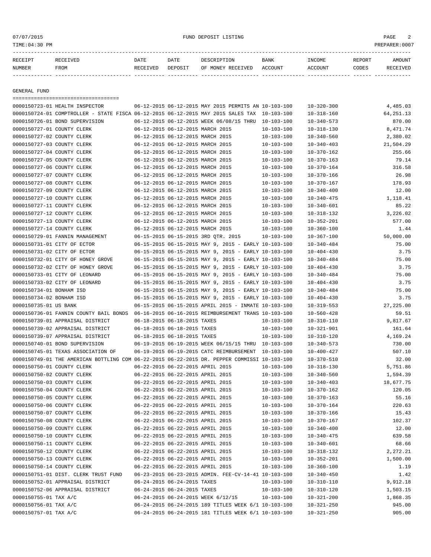| RECEIPT | <b>RECEIVED</b> | DATE     | DATE    | DESCRIPTION          | <b>BANK</b>    | INCOME         | <b>REPORT</b> | <b>AMOUNT</b> |
|---------|-----------------|----------|---------|----------------------|----------------|----------------|---------------|---------------|
| NUMBER  | FROM            | RECEIVED | DEPOSIT | RECEIVED<br>OF MONEY | <b>ACCOUNT</b> | <b>ACCOUNT</b> | CODES         | <b>CETVED</b> |
|         |                 |          |         |                      |                |                |               |               |

GENERAL FUND

=================================== 0000150723-01 HEALTH INSPECTOR 06-12-2015 06-12-2015 MAY 2015 PERMITS AN 10-103-100 10-320-300 4,485.03 0000150724-01 COMPTROLLER - STATE FISCA 06-12-2015 06-12-2015 MAY 2015 SALES TAX 10-103-100 10-318-160 64,251.13 0000150726-01 BOND SUPERVISION 06-12-2015 06-12-2015 WEEK 06/08/15 THRU 10-103-100 10-340-573 870.00 0000150727-01 COUNTY CLERK 06-12-2015 06-12-2015 MARCH 2015 10-103-100 10-318-130 8.471.74 0000150727-02 COUNTY CLERK 06-12-2015 06-12-2015 MARCH 2015 10-103-100 10-340-560 2,380.02 0000150727-03 COUNTY CLERK 06-12-2015 06-12-2015 MARCH 2015 10-103-100 10-340-403 21,504.29 0000150727-04 COUNTY CLERK 06-12-2015 06-12-2015 MARCH 2015 10-103-100 10-370-162 255.66 0000150727-05 COUNTY CLERK 06-12-2015 06-12-2015 MARCH 2015 10-103-100 10-370-163 79.14 0000150727-06 COUNTY CLERK 06-12-2015 06-12-2015 MARCH 2015 10-103-100 10-370-164 316.58 0000150727-07 COUNTY CLERK 06-12-2015 06-12-2015 MARCH 2015 10-103-100 10-370-166 26.98 0000150727-08 COUNTY CLERK 06-12-2015 06-12-2015 MARCH 2015 10-103-100 10-370-167 178.93 0000150727-09 COUNTY CLERK 06-12-2015 06-12-2015 MARCH 2015 10-103-100 10-340-400 10-340-400 0000150727-10 COUNTY CLERK 06-12-2015 06-12-2015 MARCH 2015 10-103-100 10-340-475 1,118.41 0000150727-11 COUNTY CLERK 06-12-2015 06-12-2015 MARCH 2015 10-103-100 10-340-601 85.22 0000150727-12 COUNTY CLERK 06-12-2015 06-12-2015 MARCH 2015 10-103-100 10-318-132 3,226.02 0000150727-13 COUNTY CLERK 06-12-2015 06-12-2015 MARCH 2015 10-103-100 10-352-201 577.00 0000150727-14 COUNTY CLERK 06-12-2015 06-12-2015 MARCH 2015 10-103-100 10-360-100 10-360-100 1.44 0000150729-01 FANNIN MANAGEMENT 06-15-2015 06-15-2015 3RD QTR. 2015 10-103-100 10-367-100 50,000.00 0000150731-01 CITY OF ECTOR 06-15-2015 06-15-2015 MAY 9, 2015 - EARLY 10-103-100 10-340-484 75.00 0000150731-02 CITY OF ECTOR 06-15-2015 06-15-2015 MAY 9, 2015 - EARLY 10-103-100 10-404-430 3.75 0000150732-01 CITY OF HONEY GROVE 06-15-2015 06-15-2015 MAY 9, 2015 - EARLY 10-103-100 10-340-484 75.00 0000150732-02 CITY OF HONEY GROVE 06-15-2015 06-15-2015 MAY 9, 2015 - EARLY 10-103-100 10-404-430 3.75 0000150733-01 CITY OF LEONARD 06-15-2015 06-15-2015 MAY 9, 2015 - EARLY 10-103-100 10-340-484 75.00 0000150733-02 CITY OF LEONARD 06-15-2015 06-15-2015 MAY 9, 2015 - EARLY 10-103-100 10-404-430 3.75 0000150734-01 BONHAM ISD 06-15-2015 06-15-2015 MAY 9, 2015 - EARLY 10-103-100 10-340-484 75.00 0000150734-02 BONHAM ISD 06-15-2015 06-15-2015 MAY 9, 2015 - EARLY 10-103-100 10-404-430 3.75 0000150735-01 US BANK 06-15-2015 06-15-2015 APRIL 2015 - INMATE 10-103-100 10-319-553 27,225.00 0000150736-01 FANNIN COUNTY BAIL BONDS 06-16-2015 06-16-2015 REIMBURSEMENT TRANS 10-103-100 10-560-428 59.51 0000150739-01 APPRAISAL DISTRICT 06-18-2015 06-18-2015 TAXES 10-103-100 10-310-110 9,817.67 0000150739-02 APPRAISAL DISTRICT 06-18-2015 06-18-2015 TAXES 10-103-100 10-321-901 161.64 0000150739-07 APPRAISAL DISTRICT 06-18-2015 06-18-2015 TAXES 10-103-100 10-310-120 4,169.24 0000150740-01 BOND SUPERVISION 06-19-2015 06-19-2015 WEEK 06/15/15 THRU 10-103-100 10-340-573 730.00 0000150745-01 TEXAS ASSOCIATION OF 06-19-2015 06-19-2015 CATC REIMBURSEMENT 10-103-100 10-400-427 507.10 0000150749-01 THE AMERICAN BOTTLING COM 06-22-2015 06-22-2015 DR. PEPPER COMMISSI 10-103-100 10-370-510 32.00 0000150750-01 COUNTY CLERK 06-22-2015 06-22-2015 APRIL 2015 10-103-100 10-318-130 5,751.86 0000150750-02 COUNTY CLERK 06-22-2015 06-22-2015 APRIL 2015 10-103-100 10-340-560 1,594.39 0000150750-03 COUNTY CLERK 06-22-2015 06-22-2015 APRIL 2015 10-103-100 10-340-403 18,677.75 0000150750-04 COUNTY CLERK 06-22-2015 06-22-2015 APRIL 2015 10-103-100 10-370-162 120.05 0000150750-05 COUNTY CLERK 06-22-2015 06-22-2015 APRIL 2015 10-103-100 10-370-163 55.16 0000150750-06 COUNTY CLERK 06-22-2015 06-22-2015 APRIL 2015 10-103-100 10-370-164 220.63 0000150750-07 COUNTY CLERK 06-22-2015 06-22-2015 APRIL 2015 10-103-100 10-370-166 15.43 0000150750-08 COUNTY CLERK 06-22-2015 06-22-2015 APRIL 2015 10-103-100 10-370-167 102.37 0000150750-09 COUNTY CLERK 06-22-2015 06-22-2015 APRIL 2015 10-103-100 10-340-400 10-340-400 12.00 0000150750-10 COUNTY CLERK 06-22-2015 06-22-2015 APRIL 2015 10-103-100 10-340-475 639.58 0000150750-11 COUNTY CLERK 06-22-2015 06-22-2015 APRIL 2015 10-103-100 10-340-601 68.66 0000150750-12 COUNTY CLERK 06-22-2015 06-22-2015 APRIL 2015 10-103-100 10-318-132 2,272.21 0000150750-13 COUNTY CLERK 06-22-2015 06-22-2015 APRIL 2015 10-103-100 10-352-201 1,500.00 0000150750-14 COUNTY CLERK 06-22-2015 06-22-2015 APRIL 2015 10-103-100 10-360-100 1.19 0000150751-01 DIST. CLERK TRUST FUND 06-23-2015 06-23-2015 ADMIN. FEE-CV-14-41 10-103-100 10-340-450 1.42 0000150752-01 APPRAISAL DISTRICT 06-24-2015 06-24-2015 TAXES 10-103-100 10-310-110 9,912.18 0000150752-06 APPRAISAL DISTRICT 06-24-2015 06-24-2015 TAXES 10-103-100 10-310-120 1,503.15 0000150755-01 TAX A/C 06-24-2015 06-24-2015 WEEK 6/12/15 10-103-100 10-321-200 1,868.35 0000150756-01 TAX A/C 06-24-2015 06-24-2015 06-24-2015 189 TITLES WEEK 6/1 10-103-100 10-321-250 945.00 0000150757-01 TAX A/C 06-24-2015 06-24-2015 181 TITLES WEEK 6/1 10-103-100 10-321-250 905.00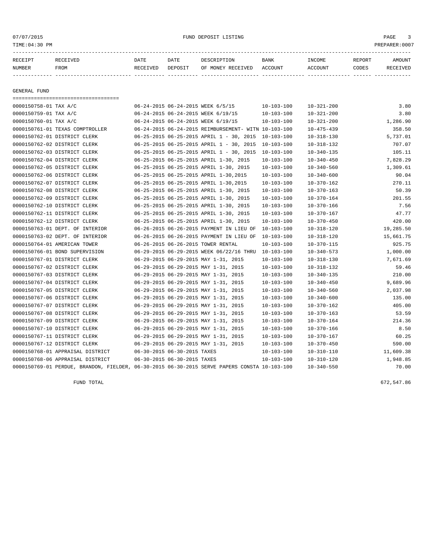#### 07/07/2015 FUND DEPOSIT LISTING PAGE 3

| RECEIPT       | <b>RECEIVED</b> | DATE     | DATE    | DESCRIPTION       | BANK    | INCOME  | <b>REPORT</b> | AMOUNT |
|---------------|-----------------|----------|---------|-------------------|---------|---------|---------------|--------|
| <b>NUMBER</b> | FROM            | RECEIVED | DEPOSIT | OF MONEY RECEIVED | ACCOUNT | ACCOUNT | CODES         | CEIVED |
|               |                 |          |         |                   |         |         |               |        |

GENERAL FUND

=================================== 0000150758-01 TAX A/C 06-24-2015 06-24-2015 WEEK 6/5/15 10-103-100 10-321-200 3.80 0000150759-01 TAX A/C 06-24-2015 06-24-2015 WEEK 6/19/15 10-103-100 10-321-200 3.80 0000150760-01 TAX A/C 06-24-2015 06-24-2015 WEEK 6/19/15 10-103-100 10-321-200 1,286.90 0000150761-01 TEXAS COMPTROLLER 06-24-2015 06-24-2015 REIMBURSEMENT- WITN 10-103-100 10-475-439 358.50 0000150762-01 DISTRICT CLERK 06-25-2015 06-25-2015 APRIL 1 - 30, 2015 10-103-100 10-318-130 5,737.01 0000150762-02 DISTRICT CLERK 06-25-2015 06-25-2015 APRIL 1 - 30, 2015 10-103-100 10-318-132 707.07 0000150762-03 DISTRICT CLERK 06-25-2015 06-25-2015 APRIL 1 - 30, 2015 10-103-100 10-340-135 105.11 0000150762-04 DISTRICT CLERK 06-25-2015 06-25-2015 APRIL 1-30, 2015 10-103-100 10-340-450 7,828.29 0000150762-05 DISTRICT CLERK 06-25-2015 06-25-2015 APRIL 1-30, 2015 10-103-100 10-340-560 1,309.61 0000150762-06 DISTRICT CLERK 06-25-2015 06-25-2015 APRIL 1-30,2015 10-103-100 10-340-600 90.04 0000150762-07 DISTRICT CLERK 06-25-2015 06-25-2015 APRIL 1-30,2015 10-103-100 10-370-162 270.11 0000150762-08 DISTRICT CLERK 06-25-2015 06-25-2015 APRIL 1-30, 2015 10-103-100 10-370-163 50.39 0000150762-09 DISTRICT CLERK 06-25-2015 06-25-2015 APRIL 1-30, 2015 10-103-100 10-370-164 201.55 0000150762-10 DISTRICT CLERK 06-25-2015 06-25-2015 APRIL 1-30, 2015 10-103-100 10-370-166 7.56 0000150762-11 DISTRICT CLERK 06-25-2015 06-25-2015 APRIL 1-30, 2015 10-103-100 10-370-167 47.77 0000150762-12 DISTRICT CLERK 06-25-2015 06-25-2015 APRIL 1-30, 2015 10-103-100 10-370-450 420.00 0000150763-01 DEPT. OF INTERIOR 06-26-2015 06-26-2015 PAYMENT IN LIEU OF 10-103-100 10-318-120 19,285.50 0000150763-02 DEPT. OF INTERIOR 06-26-2015 06-26-2015 PAYMENT IN LIEU OF 10-103-100 10-318-120 15,661.75 0000150764-01 AMERICAN TOWER 06-26-2015 06-26-2015 TOWER RENTAL 10-103-100 10-370-115 925.75 0000150766-01 BOND SUPERVISION 06-29-2015 06-29-2015 WEEK 06/22/16 THRU 10-103-100 10-340-573 1,000.00 0000150767-01 DISTRICT CLERK 06-29-2015 06-29-2015 MAY 1-31, 2015 10-103-100 10-318-130 7,671.69 0000150767-02 DISTRICT CLERK 06-29-2015 06-29-2015 MAY 1-31, 2015 10-103-100 10-318-132 59.46 0000150767-03 DISTRICT CLERK 06-29-2015 06-29-2015 MAY 1-31, 2015 10-103-100 10-340-135 210.00 0000150767-04 DISTRICT CLERK 06-29-2015 06-29-2015 MAY 1-31, 2015 10-103-100 10-340-450 9,689.96 0000150767-05 DISTRICT CLERK 06-29-2015 06-29-2015 MAY 1-31, 2015 10-103-100 10-340-560 2,037.98 0000150767-06 DISTRICT CLERK 06-29-2015 06-29-2015 MAY 1-31, 2015 10-103-100 10-340-600 135.00 0000150767-07 DISTRICT CLERK 06-29-2015 06-29-2015 MAY 1-31, 2015 10-103-100 10-370-162 405.00 0000150767-08 DISTRICT CLERK 06-29-2015 06-29-2015 MAY 1-31, 2015 10-103-100 10-370-163 53.59 0000150767-09 DISTRICT CLERK 06-29-2015 06-29-2015 MAY 1-31, 2015 10-103-100 10-370-164 214.36 0000150767-10 DISTRICT CLERK 06-29-2015 06-29-2015 MAY 1-31, 2015 10-103-100 10-370-166 8.50 0000150767-11 DISTRICT CLERK 06-29-2015 06-29-2015 MAY 1-31, 2015 10-103-100 10-370-167 60.25 0000150767-12 DISTRICT CLERK 06-29-2015 06-29-2015 MAY 1-31, 2015 10-103-100 10-370-450 590.00 0000150768-01 APPRAISAL DISTRICT 06-30-2015 06-30-2015 TAXES 10-103-100 10-310-110 11,609.38 0000150768-06 APPRAISAL DISTRICT 06-30-2015 06-30-2015 TAXES 10-103-100 10-310-120 1,948.85 0000150769-01 PERDUE, BRANDON, FIELDER, 06-30-2015 06-30-2015 SERVE PAPERS CONSTA 10-103-100 10-340-550 70.00

FUND TOTAL 672,547.86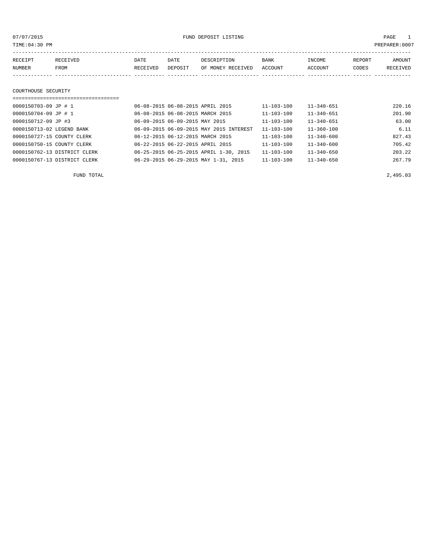07/07/2015 FUND DEPOSIT LISTING PAGE 1

| RECEIPT | <b>RECEIVED</b> | DATE     | DATE    | DESCRIPTION       | BANK    | INCOME         | REPORT | AMOUNT          |
|---------|-----------------|----------|---------|-------------------|---------|----------------|--------|-----------------|
| NUMBER  | FROM            | RECEIVED | DEPOSIT | OF MONEY RECEIVED | ACCOUNT | <b>ACCOUNT</b> | CODES  | <b>RECEIVED</b> |
|         |                 |          |         |                   |         |                |        |                 |

#### COURTHOUSE SECURITY

| ================================== |                                         |                  |                  |        |
|------------------------------------|-----------------------------------------|------------------|------------------|--------|
| 0000150703-09 JP # 1               | 06-08-2015 06-08-2015 APRIL 2015        | $11 - 103 - 100$ | $11 - 340 - 651$ | 220.16 |
| 0000150704-09 JP # 1               | 06-08-2015 06-08-2015 MARCH 2015        | 11-103-100       | $11 - 340 - 651$ | 201.90 |
| 0000150712-09 JP #3                | 06-09-2015 06-09-2015 MAY 2015          | $11 - 103 - 100$ | $11 - 340 - 651$ | 63.00  |
| 0000150713-02 LEGEND BANK          | 06-09-2015 06-09-2015 MAY 2015 INTEREST | $11 - 103 - 100$ | $11 - 360 - 100$ | 6.11   |
| 0000150727-15 COUNTY CLERK         | 06-12-2015 06-12-2015 MARCH 2015        | $11 - 103 - 100$ | $11 - 340 - 600$ | 827.43 |
| 0000150750-15 COUNTY CLERK         | 06-22-2015 06-22-2015 APRIL 2015        | $11 - 103 - 100$ | $11 - 340 - 600$ | 705.42 |
| 0000150762-13 DISTRICT CLERK       | 06-25-2015 06-25-2015 APRIL 1-30, 2015  | 11-103-100       | $11 - 340 - 650$ | 203.22 |
| 0000150767-13 DISTRICT CLERK       | 06-29-2015 06-29-2015 MAY 1-31, 2015    | $11 - 103 - 100$ | $11 - 340 - 650$ | 267.79 |

FUND TOTAL 2,495.03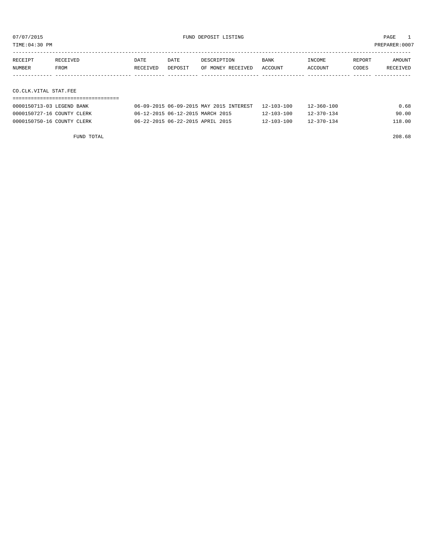TIME:04:30 PM PREPARER:0007

| <b>RECEIPT</b> | <b>RECEIVED</b> | DATE     | DATE    | DESCRIPTION       | <b>BANK</b>    | NCOME <sup>-</sup> | REPORT | <b>AMOUNT</b>   |
|----------------|-----------------|----------|---------|-------------------|----------------|--------------------|--------|-----------------|
| NUMBER         | FROM            | RECEIVED | DEPOSIT | OF MONEY RECEIVED | <b>ACCOUNT</b> | CCOUNT             | CODES  | <b>RECEIVED</b> |
|                |                 |          |         |                   |                |                    |        |                 |

CO.CLK.VITAL STAT.FEE

| 0000150713-03 LEGEND BANK  | 06-09-2015 06-09-2015 MAY 2015 INTEREST 12-103-100 |                  | 12-360-100       | 0.68   |
|----------------------------|----------------------------------------------------|------------------|------------------|--------|
| 0000150727-16 COUNTY CLERK | 06-12-2015 06-12-2015 MARCH 2015                   | $12 - 103 - 100$ | $12 - 370 - 134$ | 90.00  |
| 0000150750-16 COUNTY CLERK | 06-22-2015 06-22-2015 APRIL 2015                   | $12 - 103 - 100$ | $12 - 370 - 134$ | 118.00 |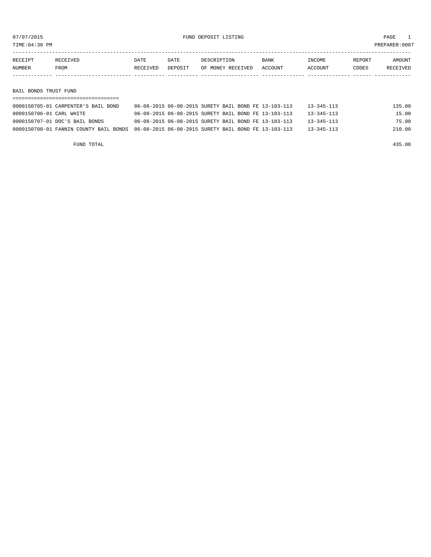07/07/2015 FUND DEPOSIT LISTING PAGE 1

TIME:04:30 PM PREPARER:0007

| RECEIPT | <b>RECEIVED</b> | DATE     | DATE    | DESCRIPTION       | <b>BANK</b> | INCOME         | REPORT | AMOUNT          |
|---------|-----------------|----------|---------|-------------------|-------------|----------------|--------|-----------------|
| NUMBER  | <b>FROM</b>     | RECEIVED | DEPOSIT | OF MONEY RECEIVED | ACCOUNT     | <b>ACCOUNT</b> | CODES  | <b>RECEIVED</b> |
|         |                 |          |         |                   |             |                |        |                 |

BAIL BONDS TRUST FUND

| 0000150705-01 CARPENTER'S BAIL BOND | 06-08-2015 06-08-2015 SURETY BAIL BOND FE 13-103-113                                        | 13-345-113       | 135.00 |
|-------------------------------------|---------------------------------------------------------------------------------------------|------------------|--------|
| 0000150706-01 CARL WHITE            | 06-08-2015 06-08-2015 SURETY BAIL BOND FE 13-103-113                                        | 13-345-113       | 15.00  |
| 0000150707-01 DOC'S BAIL BONDS      | 06-08-2015 06-08-2015 SURETY BAIL BOND FE 13-103-113                                        | $13 - 345 - 113$ | 75.00  |
|                                     | 0000150708-01 FANNIN COUNTY BAIL BONDS 06-08-2015 06-08-2015 SURETY BAIL BOND FE 13-103-113 | $13 - 345 - 113$ | 210.00 |

FUND TOTAL 435.00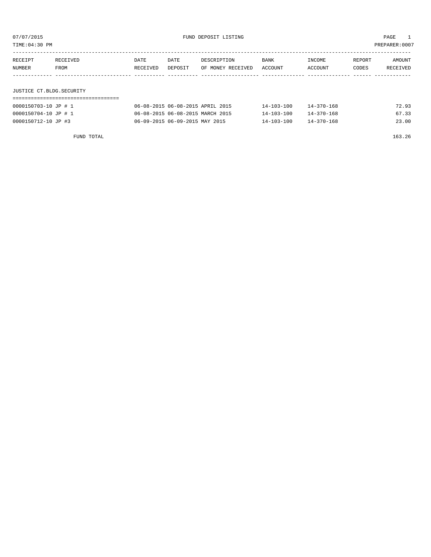TIME:04:30 PM PREPARER:0007

| RECEIPT | RECEIVED | DATE     | DATE    | DESCRIPTION       | <b>BANK</b> | INCOME  | REPORT | AMOUNT   |
|---------|----------|----------|---------|-------------------|-------------|---------|--------|----------|
| NUMBER  | FROM     | RECEIVED | DEPOSIT | OF MONEY RECEIVED | ACCOUNT     | ACCOUNT | CODES  | RECEIVED |
|         |          |          |         |                   |             |         |        |          |
|         |          |          |         |                   |             |         |        |          |

# JUSTICE CT.BLDG.SECURITY

| 0000150703-10 JP # 1 | 06-08-2015 06-08-2015 APRIL 2015 | $14 - 103 - 100$ | $14 - 370 - 168$ | 72.93 |
|----------------------|----------------------------------|------------------|------------------|-------|
| 0000150704-10 JP # 1 | 06-08-2015 06-08-2015 MARCH 2015 | $14 - 103 - 100$ | $14 - 370 - 168$ | 67.33 |
| 0000150712-10 JP #3  | 06-09-2015 06-09-2015 MAY 2015   | $14 - 103 - 100$ | 14-370-168       | 23.00 |

FUND TOTAL 163.26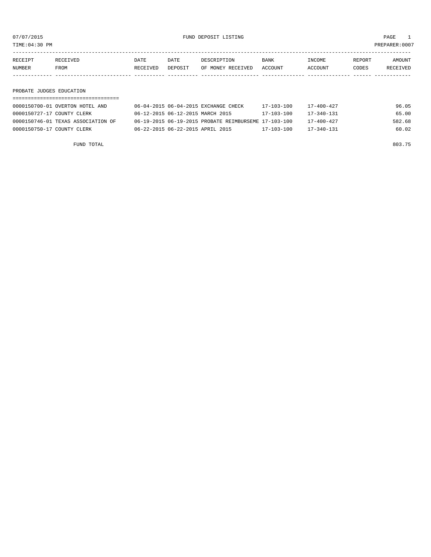07/07/2015 FUND DEPOSIT LISTING PAGE 1

TIME:04:30 PM PREPARER:0007

| RECEIPT | RECEIVED    | DATE     | DATE    | DESCRIPTION       | <b>BANK</b> | INCOME         | REPORT | AMOUNT          |
|---------|-------------|----------|---------|-------------------|-------------|----------------|--------|-----------------|
| NUMBER  | <b>FROM</b> | RECEIVED | DEPOSIT | OF MONEY RECEIVED | ACCOUNT     | <b>ACCOUNT</b> | CODES  | <b>RECEIVED</b> |
|         |             |          |         |                   |             |                |        |                 |

## PROBATE JUDGES EDUCATION

| 0000150700-01 OVERTON HOTEL AND    | 06-04-2015 06-04-2015 EXCHANGE CHECK                 |  | $17 - 103 - 100$ | 17-400-427       | 96.05  |  |  |  |  |  |
|------------------------------------|------------------------------------------------------|--|------------------|------------------|--------|--|--|--|--|--|
| 0000150727-17 COUNTY CLERK         | 06-12-2015 06-12-2015 MARCH 2015                     |  | $17 - 103 - 100$ | $17 - 340 - 131$ | 65.00  |  |  |  |  |  |
| 0000150746-01 TEXAS ASSOCIATION OF | 06-19-2015 06-19-2015 PROBATE REIMBURSEME 17-103-100 |  |                  | $17 - 400 - 427$ | 582.68 |  |  |  |  |  |
| 0000150750-17 COUNTY CLERK         | 06-22-2015 06-22-2015 APRIL 2015                     |  | $17 - 103 - 100$ | $17 - 340 - 131$ | 60.02  |  |  |  |  |  |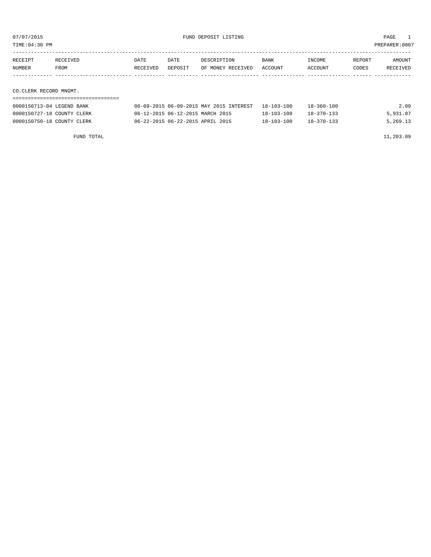TIME:04:30 PM PREPARER:0007

| RECEIPT | RECEIVED | DATE     | DATE    | DESCRIPTION       | BANK    | <b>TNCOME</b>  | REPORT | AMOUNT          |
|---------|----------|----------|---------|-------------------|---------|----------------|--------|-----------------|
| NUMBER  | FROM     | RECEIVED | DEPOSIT | OF MONEY RECEIVED | ACCOUNT | <b>ACCOUNT</b> | CODES  | <b>RECEIVED</b> |
|         |          |          |         |                   |         |                |        |                 |
|         |          |          |         |                   |         |                |        |                 |

CO.CLERK RECORD MNGMT.

| 0000150713-04 LEGEND BANK  | 06-09-2015 06-09-2015 MAY 2015 INTEREST | 18-103-100 | $18 - 360 - 100$ | 2.09     |
|----------------------------|-----------------------------------------|------------|------------------|----------|
| 0000150727-18 COUNTY CLERK | 06-12-2015 06-12-2015 MARCH 2015        | 18-103-100 | $18 - 370 - 133$ | 5,931.87 |
| 0000150750-18 COUNTY CLERK | 06-22-2015 06-22-2015 APRIL 2015        | 18-103-100 | $18 - 370 - 133$ | 5,269.13 |

FUND TOTAL  $11,203.09$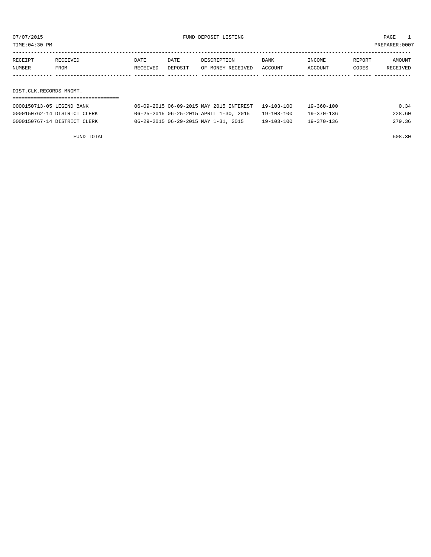or of the set of the set of the set of the set of the set of the set of the set of the set of the set of the set of the set of the set of the set of the set of the set of the set of the set of the set of the set of the set

| RECEIPT | RECEIVED | DATE     | DATE    | DESCRIPTION       | BANK    | INCOME  | REPORT | AMOUNT          |
|---------|----------|----------|---------|-------------------|---------|---------|--------|-----------------|
| NUMBER  | FROM     | RECEIVED | DEPOSIT | OF MONEY RECEIVED | ACCOUNT | ACCOUNT | CODES  | <b>RECEIVED</b> |
|         |          |          |         |                   |         |         |        |                 |

DIST.CLK.RECORDS MNGMT.

| 0000150713-05 LEGEND BANK    | 06-09-2015 06-09-2015 MAY 2015 INTEREST | 19-103-100 | 19-360-100 | 0.34   |
|------------------------------|-----------------------------------------|------------|------------|--------|
| 0000150762-14 DISTRICT CLERK | 06-25-2015 06-25-2015 APRIL 1-30, 2015  | 19-103-100 | 19-370-136 | 228.60 |
| 0000150767-14 DISTRICT CLERK | 06-29-2015 06-29-2015 MAY 1-31, 2015    | 19-103-100 | 19-370-136 | 279.36 |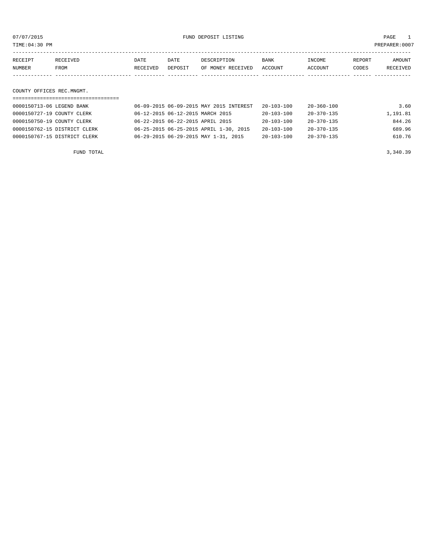or of the set of the set of the set of the set of the set of the set of the set of the set of the set of the set of the set of the set of the set of the set of the set of the set of the set of the set of the set of the set

| RECEIPT | <b>RECEIVED</b> | DATE     | DATE    | DESCRIPTION       | <b>BANK</b> | INCOME         | REPORT | AMOUNT          |
|---------|-----------------|----------|---------|-------------------|-------------|----------------|--------|-----------------|
| NUMBER  | FROM            | RECEIVED | DEPOSIT | OF MONEY RECEIVED | ACCOUNT     | <b>ACCOUNT</b> | CODES  | <b>RECEIVED</b> |
|         |                 |          |         |                   |             |                |        |                 |

COUNTY OFFICES REC.MNGMT.

| 0000150713-06 LEGEND BANK    | 06-09-2015 06-09-2015 MAY 2015 INTEREST | $20 - 103 - 100$ | 20-360-100       | 3.60     |
|------------------------------|-----------------------------------------|------------------|------------------|----------|
| 0000150727-19 COUNTY CLERK   | 06-12-2015 06-12-2015 MARCH 2015        | $20 - 103 - 100$ | $20 - 370 - 135$ | 1,191.81 |
| 0000150750-19 COUNTY CLERK   | 06-22-2015 06-22-2015 APRIL 2015        | $20 - 103 - 100$ | $20 - 370 - 135$ | 844.26   |
| 0000150762-15 DISTRICT CLERK | 06-25-2015 06-25-2015 APRIL 1-30, 2015  | 20-103-100       | $20 - 370 - 135$ | 689.96   |
| 0000150767-15 DISTRICT CLERK | 06-29-2015 06-29-2015 MAY 1-31, 2015    | $20 - 103 - 100$ | $20 - 370 - 135$ | 610.76   |
|                              |                                         |                  |                  |          |

FUND TOTAL  $3,340.39$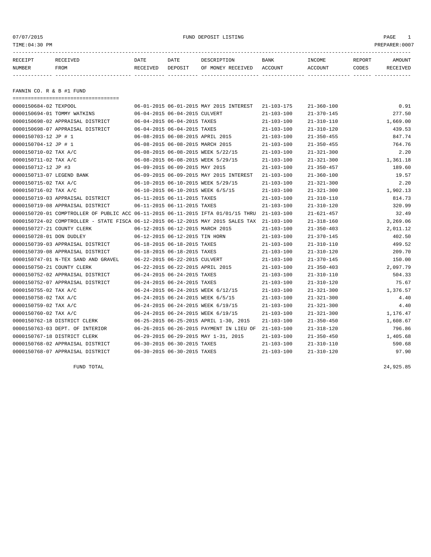| 07/07/2015                 |                                                                                  |          |                                  | PAGE<br>1                                |                  |                  |        |                |
|----------------------------|----------------------------------------------------------------------------------|----------|----------------------------------|------------------------------------------|------------------|------------------|--------|----------------|
| TIME:04:30 PM              |                                                                                  |          |                                  |                                          |                  |                  |        | PREPARER: 0007 |
| RECEIPT                    | RECEIVED                                                                         | DATE     | DATE                             | DESCRIPTION                              | BANK             | INCOME           | REPORT | AMOUNT         |
| NUMBER                     | FROM                                                                             | RECEIVED | DEPOSIT                          | OF MONEY RECEIVED                        | ACCOUNT          | ACCOUNT          | CODES  | RECEIVED       |
|                            |                                                                                  |          |                                  |                                          |                  |                  |        |                |
| FANNIN CO. R & B #1 FUND   |                                                                                  |          |                                  |                                          |                  |                  |        |                |
| 0000150684-02 TEXPOOL      | ======================================                                           |          |                                  | 06-01-2015 06-01-2015 MAY 2015 INTEREST  | $21 - 103 - 175$ | $21 - 360 - 100$ |        | 0.91           |
|                            | 0000150694-01 TOMMY WATKINS                                                      |          | 06-04-2015 06-04-2015 CULVERT    |                                          | $21 - 103 - 100$ | $21 - 370 - 145$ |        | 277.50         |
|                            | 0000150698-02 APPRAISAL DISTRICT                                                 |          | 06-04-2015 06-04-2015 TAXES      |                                          | $21 - 103 - 100$ | $21 - 310 - 110$ |        | 1,669.00       |
|                            | 0000150698-07 APPRAISAL DISTRICT                                                 |          | 06-04-2015 06-04-2015 TAXES      |                                          | $21 - 103 - 100$ | 21-310-120       |        | 439.53         |
| 0000150703-12 JP # 1       |                                                                                  |          | 06-08-2015 06-08-2015 APRIL 2015 |                                          | $21 - 103 - 100$ | $21 - 350 - 455$ |        | 847.74         |
| 0000150704-12 JP # 1       |                                                                                  |          | 06-08-2015 06-08-2015 MARCH 2015 |                                          | $21 - 103 - 100$ | $21 - 350 - 455$ |        | 764.76         |
| 0000150710-02 TAX A/C      |                                                                                  |          |                                  | 06-08-2015 06-08-2015 WEEK 5/22/15       | $21 - 103 - 100$ | $21 - 321 - 300$ |        | 2.20           |
| 0000150711-02 TAX A/C      |                                                                                  |          |                                  | 06-08-2015 06-08-2015 WEEK 5/29/15       | $21 - 103 - 100$ | $21 - 321 - 300$ |        | 1,361.18       |
| 0000150712-12 JP #3        |                                                                                  |          | 06-09-2015 06-09-2015 MAY 2015   |                                          | $21 - 103 - 100$ | $21 - 350 - 457$ |        | 189.60         |
| 0000150713-07 LEGEND BANK  |                                                                                  |          |                                  | 06-09-2015 06-09-2015 MAY 2015 INTEREST  | $21 - 103 - 100$ | $21 - 360 - 100$ |        | 19.57          |
| 0000150715-02 TAX A/C      |                                                                                  |          |                                  | 06-10-2015 06-10-2015 WEEK 5/29/15       | $21 - 103 - 100$ | $21 - 321 - 300$ |        | 2.20           |
| 0000150716-02 TAX A/C      |                                                                                  |          |                                  | 06-10-2015 06-10-2015 WEEK 6/5/15        | $21 - 103 - 100$ | $21 - 321 - 300$ |        | 1,902.13       |
|                            | 0000150719-03 APPRAISAL DISTRICT                                                 |          | 06-11-2015 06-11-2015 TAXES      |                                          | $21 - 103 - 100$ | $21 - 310 - 110$ |        | 814.73         |
|                            | 0000150719-08 APPRAISAL DISTRICT                                                 |          | 06-11-2015 06-11-2015 TAXES      |                                          | $21 - 103 - 100$ | $21 - 310 - 120$ |        | 320.99         |
|                            | 0000150720-01 COMPTROLLER OF PUBLIC ACC 06-11-2015 06-11-2015 IFTA 01/01/15 THRU |          |                                  |                                          | $21 - 103 - 100$ | $21 - 621 - 457$ |        | 32.49          |
|                            | 0000150724-02 COMPTROLLER - STATE FISCA 06-12-2015 06-12-2015 MAY 2015 SALES TAX |          |                                  |                                          | $21 - 103 - 100$ | $21 - 318 - 160$ |        | 3,269.06       |
| 0000150727-21 COUNTY CLERK |                                                                                  |          | 06-12-2015 06-12-2015 MARCH 2015 |                                          | $21 - 103 - 100$ | $21 - 350 - 403$ |        | 2,011.12       |
| 0000150728-01 DON DUDLEY   |                                                                                  |          | 06-12-2015 06-12-2015 TIN HORN   |                                          | $21 - 103 - 100$ | $21 - 370 - 145$ |        | 402.50         |
|                            | 0000150739-03 APPRAISAL DISTRICT                                                 |          | 06-18-2015 06-18-2015 TAXES      |                                          | $21 - 103 - 100$ | 21-310-110       |        | 499.52         |
|                            | 0000150739-08 APPRAISAL DISTRICT                                                 |          | 06-18-2015 06-18-2015 TAXES      |                                          | $21 - 103 - 100$ | $21 - 310 - 120$ |        | 209.70         |
|                            | 0000150747-01 N-TEX SAND AND GRAVEL                                              |          | 06-22-2015 06-22-2015 CULVERT    |                                          | $21 - 103 - 100$ | $21 - 370 - 145$ |        | 150.00         |
| 0000150750-21 COUNTY CLERK |                                                                                  |          | 06-22-2015 06-22-2015 APRIL 2015 |                                          | $21 - 103 - 100$ | $21 - 350 - 403$ |        | 2,097.79       |
|                            | 0000150752-02 APPRAISAL DISTRICT                                                 |          | 06-24-2015 06-24-2015 TAXES      |                                          | $21 - 103 - 100$ | $21 - 310 - 110$ |        | 504.33         |
|                            | 0000150752-07 APPRAISAL DISTRICT                                                 |          | 06-24-2015 06-24-2015 TAXES      |                                          | $21 - 103 - 100$ | $21 - 310 - 120$ |        | 75.67          |
| 0000150755-02 TAX A/C      |                                                                                  |          |                                  | 06-24-2015 06-24-2015 WEEK 6/12/15       | $21 - 103 - 100$ | $21 - 321 - 300$ |        | 1,376.57       |
| 0000150758-02 TAX A/C      |                                                                                  |          |                                  | 06-24-2015 06-24-2015 WEEK 6/5/15        | $21 - 103 - 100$ | $21 - 321 - 300$ |        | 4.40           |
| 0000150759-02 TAX A/C      |                                                                                  |          |                                  | 06-24-2015 06-24-2015 WEEK 6/19/15       | $21 - 103 - 100$ | $21 - 321 - 300$ |        | 4.40           |
| 0000150760-02 TAX A/C      |                                                                                  |          |                                  | 06-24-2015 06-24-2015 WEEK 6/19/15       | $21 - 103 - 100$ | $21 - 321 - 300$ |        | 1,176.47       |
|                            | 0000150762-18 DISTRICT CLERK                                                     |          |                                  | 06-25-2015 06-25-2015 APRIL 1-30, 2015   | $21 - 103 - 100$ | $21 - 350 - 450$ |        | 1,608.67       |
|                            | 0000150763-03 DEPT. OF INTERIOR                                                  |          |                                  | 06-26-2015 06-26-2015 PAYMENT IN LIEU OF | $21 - 103 - 100$ | $21 - 318 - 120$ |        | 796.86         |
|                            | 0000150767-18 DISTRICT CLERK                                                     |          |                                  | 06-29-2015 06-29-2015 MAY 1-31, 2015     | $21 - 103 - 100$ | $21 - 350 - 450$ |        | 1,405.68       |
|                            | 0000150768-02 APPRAISAL DISTRICT                                                 |          | 06-30-2015 06-30-2015 TAXES      |                                          | $21 - 103 - 100$ | $21 - 310 - 110$ |        | 590.68         |
|                            | 0000150768-07 APPRAISAL DISTRICT                                                 |          | 06-30-2015 06-30-2015 TAXES      |                                          | $21 - 103 - 100$ | $21 - 310 - 120$ |        | 97.90          |

FUND TOTAL 24,925.85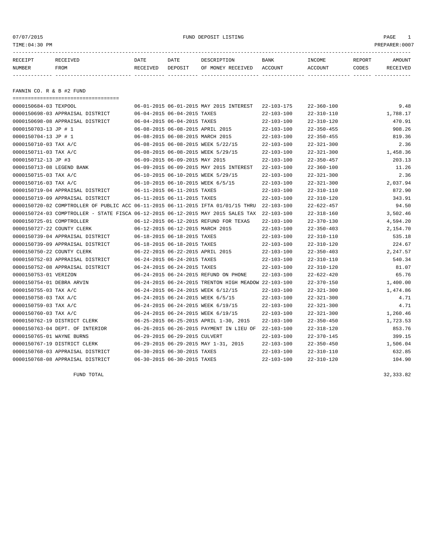| 07/07/2015<br>TIME: 04:30 PM |                                                                                  |                  |                                | FUND DEPOSIT LISTING                                 |                  |                  |        | PAGE<br>$\mathbf{1}$<br>PREPARER:0007 |
|------------------------------|----------------------------------------------------------------------------------|------------------|--------------------------------|------------------------------------------------------|------------------|------------------|--------|---------------------------------------|
| RECEIPT                      | RECEIVED                                                                         | DATE             | DATE                           | DESCRIPTION                                          | BANK             | INCOME           | REPORT | AMOUNT                                |
| NUMBER                       | FROM                                                                             | RECEIVED DEPOSIT |                                | OF MONEY RECEIVED ACCOUNT                            |                  | ACCOUNT          | CODES  | RECEIVED                              |
|                              |                                                                                  |                  |                                |                                                      |                  |                  |        |                                       |
| FANNIN CO. R & B #2 FUND     |                                                                                  |                  |                                |                                                      |                  |                  |        |                                       |
|                              | ====================================                                             |                  |                                |                                                      |                  |                  |        |                                       |
| 0000150684-03 TEXPOOL        |                                                                                  |                  |                                | 06-01-2015 06-01-2015 MAY 2015 INTEREST              | 22-103-175       | $22 - 360 - 100$ |        | 9.48                                  |
|                              | 0000150698-03 APPRAISAL DISTRICT                                                 |                  | 06-04-2015 06-04-2015 TAXES    |                                                      | $22 - 103 - 100$ | 22-310-110       |        | 1,788.17                              |
|                              | 0000150698-08 APPRAISAL DISTRICT                                                 |                  | 06-04-2015 06-04-2015 TAXES    |                                                      | $22 - 103 - 100$ | $22 - 310 - 120$ |        | 470.91                                |
| 0000150703-13 JP # 1         |                                                                                  |                  |                                | 06-08-2015 06-08-2015 APRIL 2015                     | $22 - 103 - 100$ | $22 - 350 - 455$ |        | 908.26                                |
| 0000150704-13 JP # 1         |                                                                                  |                  |                                | 06-08-2015 06-08-2015 MARCH 2015                     | $22 - 103 - 100$ | $22 - 350 - 455$ |        | 819.36                                |
| 0000150710-03 TAX A/C        |                                                                                  |                  |                                | 06-08-2015 06-08-2015 WEEK 5/22/15                   | $22 - 103 - 100$ | $22 - 321 - 300$ |        | 2.36                                  |
| 0000150711-03 TAX A/C        |                                                                                  |                  |                                | 06-08-2015 06-08-2015 WEEK 5/29/15                   | $22 - 103 - 100$ | $22 - 321 - 300$ |        | 1,458.36                              |
| 0000150712-13 JP #3          |                                                                                  |                  | 06-09-2015 06-09-2015 MAY 2015 |                                                      | $22 - 103 - 100$ | $22 - 350 - 457$ |        | 203.13                                |
| 0000150713-08 LEGEND BANK    |                                                                                  |                  |                                | 06-09-2015 06-09-2015 MAY 2015 INTEREST              | $22 - 103 - 100$ | $22 - 360 - 100$ |        | 11.26                                 |
| 0000150715-03 TAX A/C        |                                                                                  |                  |                                | 06-10-2015 06-10-2015 WEEK 5/29/15                   | $22 - 103 - 100$ | $22 - 321 - 300$ |        | 2.36                                  |
| 0000150716-03 TAX A/C        |                                                                                  |                  |                                | 06-10-2015 06-10-2015 WEEK 6/5/15                    | $22 - 103 - 100$ | $22 - 321 - 300$ |        | 2,037.94                              |
|                              | 0000150719-04 APPRAISAL DISTRICT                                                 |                  | 06-11-2015 06-11-2015 TAXES    |                                                      | $22 - 103 - 100$ | $22 - 310 - 110$ |        | 872.90                                |
|                              | 0000150719-09 APPRAISAL DISTRICT                                                 |                  | 06-11-2015 06-11-2015 TAXES    |                                                      | $22 - 103 - 100$ | $22 - 310 - 120$ |        | 343.91                                |
|                              | 0000150720-02 COMPTROLLER OF PUBLIC ACC 06-11-2015 06-11-2015 IFTA 01/01/15 THRU |                  |                                |                                                      | $22 - 103 - 100$ | $22 - 622 - 457$ |        | 94.50                                 |
|                              | 0000150724-03 COMPTROLLER - STATE FISCA 06-12-2015 06-12-2015 MAY 2015 SALES TAX |                  |                                |                                                      | $22 - 103 - 100$ | $22 - 318 - 160$ |        | 3,502.46                              |
| 0000150725-01 COMPTROLLER    |                                                                                  |                  |                                | 06-12-2015 06-12-2015 REFUND FOR TEXAS               | $22 - 103 - 100$ | $22 - 370 - 130$ |        | 4,594.20                              |
| 0000150727-22 COUNTY CLERK   |                                                                                  |                  |                                | 06-12-2015 06-12-2015 MARCH 2015                     | $22 - 103 - 100$ | $22 - 350 - 403$ |        | 2,154.70                              |
|                              | 0000150739-04 APPRAISAL DISTRICT                                                 |                  | 06-18-2015 06-18-2015 TAXES    |                                                      | $22 - 103 - 100$ | $22 - 310 - 110$ |        | 535.18                                |
|                              | 0000150739-09 APPRAISAL DISTRICT                                                 |                  | 06-18-2015 06-18-2015 TAXES    |                                                      | $22 - 103 - 100$ | $22 - 310 - 120$ |        | 224.67                                |
| 0000150750-22 COUNTY CLERK   |                                                                                  |                  |                                | 06-22-2015 06-22-2015 APRIL 2015                     | $22 - 103 - 100$ | $22 - 350 - 403$ |        | 2,247.57                              |
|                              | 0000150752-03 APPRAISAL DISTRICT                                                 |                  | 06-24-2015 06-24-2015 TAXES    |                                                      | $22 - 103 - 100$ | $22 - 310 - 110$ |        | 540.34                                |
|                              | 0000150752-08 APPRAISAL DISTRICT                                                 |                  | 06-24-2015 06-24-2015 TAXES    |                                                      | $22 - 103 - 100$ | $22 - 310 - 120$ |        | 81.07                                 |
| 0000150753-01 VERIZON        |                                                                                  |                  |                                | 06-24-2015 06-24-2015 REFUND ON PHONE                | $22 - 103 - 100$ | $22 - 622 - 420$ |        | 65.76                                 |
| 0000150754-01 DEBRA ARVIN    |                                                                                  |                  |                                | 06-24-2015 06-24-2015 TRENTON HIGH MEADOW 22-103-100 |                  | $22 - 370 - 150$ |        | 1,400.00                              |
| 0000150755-03 TAX A/C        |                                                                                  |                  |                                | 06-24-2015 06-24-2015 WEEK 6/12/15                   | $22 - 103 - 100$ | $22 - 321 - 300$ |        | 1,474.86                              |
| 0000150758-03 TAX A/C        |                                                                                  |                  |                                | 06-24-2015 06-24-2015 WEEK 6/5/15                    | $22 - 103 - 100$ | $22 - 321 - 300$ |        | 4.71                                  |
| 0000150759-03 TAX A/C        |                                                                                  |                  |                                | 06-24-2015 06-24-2015 WEEK 6/19/15                   | $22 - 103 - 100$ | $22 - 321 - 300$ |        | 4.71                                  |
| 0000150760-03 TAX A/C        |                                                                                  |                  |                                | 06-24-2015 06-24-2015 WEEK 6/19/15                   | $22 - 103 - 100$ | $22 - 321 - 300$ |        | 1,260.46                              |

0000150762-19 DISTRICT CLERK 06-25-2015 06-25-2015 APRIL 1-30, 2015 22-103-100 22-350-450 1,723.53

0000150763-04 DEPT. OF INTERIOR 06-26-2015 06-26-2015 PAYMENT IN LIEU OF 22-103-100 22-318-120 853.76 0000150765-01 WAYNE BURNS 06-29-2015 06-29-2015 CULVERT 22-103-100 22-370-145 399.15 0000150767-19 DISTRICT CLERK 06-29-2015 06-29-2015 MAY 1-31, 2015 22-103-100 22-350-450 1,506.04 0000150768-03 APPRAISAL DISTRICT 06-30-2015 06-30-2015 TAXES 22-103-100 22-310-110 632.85 0000150768-08 APPRAISAL DISTRICT 06-30-2015 06-30-2015 TAXES 22-103-100 22-310-120 104.90

FUND TOTAL  $32,333.82$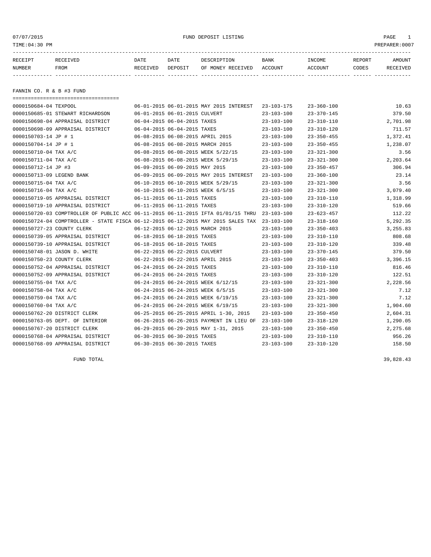| 07/07/2015<br>TIME: 04:30 PM |                                                                                  |                  |                                | FUND DEPOSIT LISTING                    |                  |                  |        | PAGE<br>$\mathbf{1}$<br>PREPARER:0007 |
|------------------------------|----------------------------------------------------------------------------------|------------------|--------------------------------|-----------------------------------------|------------------|------------------|--------|---------------------------------------|
| RECEIPT                      | RECEIVED                                                                         | DATE             | DATE                           | DESCRIPTION                             | BANK             | INCOME           | REPORT | AMOUNT                                |
| NUMBER                       | FROM                                                                             | RECEIVED DEPOSIT |                                | OF MONEY RECEIVED ACCOUNT               |                  | ACCOUNT          | CODES  | RECEIVED                              |
|                              |                                                                                  |                  |                                |                                         |                  |                  |        |                                       |
| FANNIN CO. R & B #3 FUND     |                                                                                  |                  |                                |                                         |                  |                  |        |                                       |
|                              | ====================================                                             |                  |                                |                                         |                  |                  |        |                                       |
| 0000150684-04 TEXPOOL        |                                                                                  |                  |                                | 06-01-2015 06-01-2015 MAY 2015 INTEREST | $23 - 103 - 175$ | $23 - 360 - 100$ |        | 10.63                                 |
|                              | 0000150685-01 STEWART RICHARDSON                                                 |                  | 06-01-2015 06-01-2015 CULVERT  |                                         | $23 - 103 - 100$ | $23 - 370 - 145$ |        | 379.50                                |
|                              | 0000150698-04 APPRAISAL DISTRICT                                                 |                  | 06-04-2015 06-04-2015 TAXES    |                                         | $23 - 103 - 100$ | $23 - 310 - 110$ |        | 2,701.98                              |
|                              | 0000150698-09 APPRAISAL DISTRICT                                                 |                  | 06-04-2015 06-04-2015 TAXES    |                                         | $23 - 103 - 100$ | $23 - 310 - 120$ |        | 711.57                                |
| 0000150703-14 JP # 1         |                                                                                  |                  |                                | 06-08-2015 06-08-2015 APRIL 2015        | $23 - 103 - 100$ | $23 - 350 - 455$ |        | 1,372.41                              |
| 0000150704-14 JP # 1         |                                                                                  |                  |                                | 06-08-2015 06-08-2015 MARCH 2015        | $23 - 103 - 100$ | $23 - 350 - 455$ |        | 1,238.07                              |
| 0000150710-04 TAX A/C        |                                                                                  |                  |                                | 06-08-2015 06-08-2015 WEEK 5/22/15      | $23 - 103 - 100$ | $23 - 321 - 300$ |        | 3.56                                  |
| 0000150711-04 TAX A/C        |                                                                                  |                  |                                | 06-08-2015 06-08-2015 WEEK 5/29/15      | $23 - 103 - 100$ | $23 - 321 - 300$ |        | 2,203.64                              |
| 0000150712-14 JP #3          |                                                                                  |                  | 06-09-2015 06-09-2015 MAY 2015 |                                         | $23 - 103 - 100$ | $23 - 350 - 457$ |        | 306.94                                |
| 0000150713-09 LEGEND BANK    |                                                                                  |                  |                                | 06-09-2015 06-09-2015 MAY 2015 INTEREST | $23 - 103 - 100$ | $23 - 360 - 100$ |        | 23.14                                 |
| 0000150715-04 TAX A/C        |                                                                                  |                  |                                | 06-10-2015 06-10-2015 WEEK 5/29/15      | $23 - 103 - 100$ | $23 - 321 - 300$ |        | 3.56                                  |
| 0000150716-04 TAX A/C        |                                                                                  |                  |                                | 06-10-2015 06-10-2015 WEEK 6/5/15       | $23 - 103 - 100$ | $23 - 321 - 300$ |        | 3,079.40                              |
|                              | 0000150719-05 APPRAISAL DISTRICT                                                 |                  | 06-11-2015 06-11-2015 TAXES    |                                         | $23 - 103 - 100$ | $23 - 310 - 110$ |        | 1,318.99                              |
|                              | 0000150719-10 APPRAISAL DISTRICT                                                 |                  | 06-11-2015 06-11-2015 TAXES    |                                         | $23 - 103 - 100$ | $23 - 310 - 120$ |        | 519.66                                |
|                              | 0000150720-03 COMPTROLLER OF PUBLIC ACC 06-11-2015 06-11-2015 IFTA 01/01/15 THRU |                  |                                |                                         | $23 - 103 - 100$ | $23 - 623 - 457$ |        | 112.22                                |
|                              | 0000150724-04 COMPTROLLER - STATE FISCA 06-12-2015 06-12-2015 MAY 2015 SALES TAX |                  |                                |                                         | $23 - 103 - 100$ | $23 - 318 - 160$ |        | 5,292.35                              |
| 0000150727-23 COUNTY CLERK   |                                                                                  |                  |                                | 06-12-2015 06-12-2015 MARCH 2015        | $23 - 103 - 100$ | $23 - 350 - 403$ |        | 3,255.83                              |
|                              | 0000150739-05 APPRAISAL DISTRICT                                                 |                  | 06-18-2015 06-18-2015 TAXES    |                                         | $23 - 103 - 100$ | $23 - 310 - 110$ |        | 808.68                                |
|                              | 0000150739-10 APPRAISAL DISTRICT                                                 |                  | 06-18-2015 06-18-2015 TAXES    |                                         | $23 - 103 - 100$ | $23 - 310 - 120$ |        | 339.48                                |
|                              | 0000150748-01 JASON D. WHITE                                                     |                  | 06-22-2015 06-22-2015 CULVERT  |                                         | $23 - 103 - 100$ | $23 - 370 - 145$ |        | 379.50                                |
| 0000150750-23 COUNTY CLERK   |                                                                                  |                  |                                | 06-22-2015 06-22-2015 APRIL 2015        | $23 - 103 - 100$ | $23 - 350 - 403$ |        | 3,396.15                              |
|                              | 0000150752-04 APPRAISAL DISTRICT                                                 |                  | 06-24-2015 06-24-2015 TAXES    |                                         | $23 - 103 - 100$ | $23 - 310 - 110$ |        | 816.46                                |
|                              | 0000150752-09 APPRAISAL DISTRICT                                                 |                  | 06-24-2015 06-24-2015 TAXES    |                                         | $23 - 103 - 100$ | $23 - 310 - 120$ |        | 122.51                                |
| 0000150755-04 TAX A/C        |                                                                                  |                  |                                | 06-24-2015 06-24-2015 WEEK 6/12/15      | $23 - 103 - 100$ | $23 - 321 - 300$ |        | 2,228.56                              |
| 0000150758-04 TAX A/C        |                                                                                  |                  |                                | 06-24-2015 06-24-2015 WEEK 6/5/15       | $23 - 103 - 100$ | $23 - 321 - 300$ |        | 7.12                                  |
| 0000150759-04 TAX A/C        |                                                                                  |                  |                                | 06-24-2015 06-24-2015 WEEK 6/19/15      | $23 - 103 - 100$ | $23 - 321 - 300$ |        | 7.12                                  |
| 0000150760-04 TAX A/C        |                                                                                  |                  |                                | 06-24-2015 06-24-2015 WEEK 6/19/15      | $23 - 103 - 100$ | $23 - 321 - 300$ |        | 1,904.60                              |
|                              | 0000150762-20 DISTRICT CLERK                                                     |                  |                                | 06-25-2015 06-25-2015 APRIL 1-30, 2015  | $23 - 103 - 100$ | $23 - 350 - 450$ |        | 2,604.31                              |

0000150763-05 DEPT. OF INTERIOR 06-26-2015 06-26-2015 PAYMENT IN LIEU OF 23-103-100 23-318-120 1,290.05 0000150767-20 DISTRICT CLERK 06-29-2015 06-29-2015 MAY 1-31, 2015 23-103-100 23-350-450 2,275.68

0000150768-04 APPRAISAL DISTRICT 06-30-2015 06-30-2015 TAXES 23-103-100 23-310-110 956.26 0000150768-09 APPRAISAL DISTRICT 06-30-2015 06-30-2015 TAXES 23-103-100 23-310-120 158.50

FUND TOTAL  $39,828.43$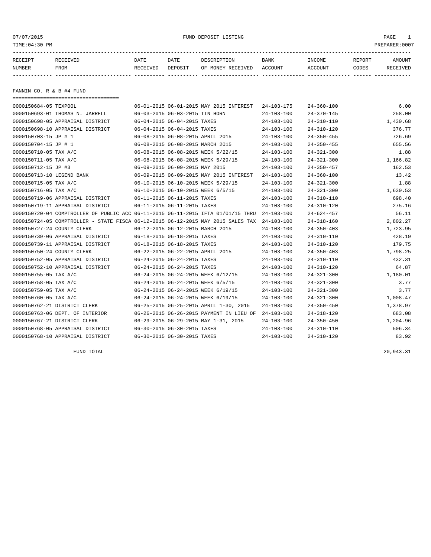07/07/2015 FUND DEPOSIT LISTING PAGE 1

| RECEIPT<br><b>RECEIVED</b>                     | DATE     | DATE                                    | DESCRIPTION                             | <b>BANK</b>      | INCOME           | REPORT | AMOUNT   |
|------------------------------------------------|----------|-----------------------------------------|-----------------------------------------|------------------|------------------|--------|----------|
| NUMBER<br>FROM                                 | RECEIVED | DEPOSIT                                 | OF MONEY RECEIVED                       | ACCOUNT          | ACCOUNT          | CODES  | RECEIVED |
|                                                |          |                                         |                                         |                  |                  |        |          |
| FANNIN CO. R & B #4 FUND                       |          |                                         |                                         |                  |                  |        |          |
| 0000150684-05 TEXPOOL                          |          |                                         | 06-01-2015 06-01-2015 MAY 2015 INTEREST | $24 - 103 - 175$ | $24 - 360 - 100$ |        | 6.00     |
| 0000150693-01 THOMAS N. JARRELL                |          | 06-03-2015 06-03-2015 TIN HORN          |                                         | $24 - 103 - 100$ | $24 - 370 - 145$ |        | 258.00   |
| 0000150698-05 APPRAISAL DISTRICT               |          | 06-04-2015 06-04-2015 TAXES             |                                         | $24 - 103 - 100$ | $24 - 310 - 110$ |        | 1,430.68 |
| $0.000150698 - 10$ $\lambda$ pprateal Dietrict |          | $06 - 04 - 2015$ $06 - 04 - 2015$ TAYES |                                         | $24 - 103 - 100$ | $24 - 310 - 120$ |        | 376.77   |

|                            | 0000150698-10 APPRAISAL DISTRICT                                                 |                                  | 06-04-2015 06-04-2015 TAXES      |                                          | $24 - 103 - 100$ | $24 - 310 - 120$ | 376.77   |
|----------------------------|----------------------------------------------------------------------------------|----------------------------------|----------------------------------|------------------------------------------|------------------|------------------|----------|
| 0000150703-15 JP # 1       |                                                                                  |                                  | 06-08-2015 06-08-2015 APRIL 2015 |                                          | $24 - 103 - 100$ | $24 - 350 - 455$ | 726.69   |
| 0000150704-15 JP # 1       |                                                                                  | 06-08-2015 06-08-2015 MARCH 2015 |                                  |                                          | $24 - 103 - 100$ | $24 - 350 - 455$ | 655.56   |
| 0000150710-05 TAX A/C      |                                                                                  |                                  |                                  | 06-08-2015 06-08-2015 WEEK 5/22/15       | $24 - 103 - 100$ | $24 - 321 - 300$ | 1.88     |
| 0000150711-05 TAX A/C      |                                                                                  |                                  |                                  | 06-08-2015 06-08-2015 WEEK 5/29/15       | $24 - 103 - 100$ | $24 - 321 - 300$ | 1,166.82 |
| 0000150712-15 JP #3        |                                                                                  | 06-09-2015 06-09-2015 MAY 2015   |                                  |                                          | $24 - 103 - 100$ | $24 - 350 - 457$ | 162.53   |
| 0000150713-10 LEGEND BANK  |                                                                                  |                                  |                                  | 06-09-2015 06-09-2015 MAY 2015 INTEREST  | $24 - 103 - 100$ | $24 - 360 - 100$ | 13.42    |
| 0000150715-05 TAX A/C      |                                                                                  |                                  |                                  | 06-10-2015 06-10-2015 WEEK 5/29/15       | $24 - 103 - 100$ | $24 - 321 - 300$ | 1.88     |
| 0000150716-05 TAX A/C      |                                                                                  |                                  |                                  | 06-10-2015 06-10-2015 WEEK 6/5/15        | $24 - 103 - 100$ | $24 - 321 - 300$ | 1,630.53 |
|                            | 0000150719-06 APPRAISAL DISTRICT                                                 | 06-11-2015 06-11-2015 TAXES      |                                  |                                          | $24 - 103 - 100$ | $24 - 310 - 110$ | 698.40   |
|                            | 0000150719-11 APPRAISAL DISTRICT                                                 |                                  | 06-11-2015 06-11-2015 TAXES      |                                          | $24 - 103 - 100$ | $24 - 310 - 120$ | 275.16   |
|                            | 0000150720-04 COMPTROLLER OF PUBLIC ACC 06-11-2015 06-11-2015 IFTA 01/01/15 THRU |                                  |                                  |                                          | $24 - 103 - 100$ | $24 - 624 - 457$ | 56.11    |
|                            | 0000150724-05 COMPTROLLER - STATE FISCA 06-12-2015 06-12-2015 MAY 2015 SALES TAX |                                  |                                  |                                          | $24 - 103 - 100$ | $24 - 318 - 160$ | 2,802.27 |
| 0000150727-24 COUNTY CLERK |                                                                                  |                                  | 06-12-2015 06-12-2015 MARCH 2015 |                                          | $24 - 103 - 100$ | $24 - 350 - 403$ | 1,723.95 |
|                            | 0000150739-06 APPRAISAL DISTRICT                                                 |                                  | 06-18-2015 06-18-2015 TAXES      |                                          | $24 - 103 - 100$ | $24 - 310 - 110$ | 428.19   |
|                            | 0000150739-11 APPRAISAL DISTRICT                                                 |                                  | 06-18-2015 06-18-2015 TAXES      |                                          | $24 - 103 - 100$ | $24 - 310 - 120$ | 179.75   |
| 0000150750-24 COUNTY CLERK |                                                                                  |                                  | 06-22-2015 06-22-2015 APRIL 2015 |                                          | $24 - 103 - 100$ | $24 - 350 - 403$ | 1,798.25 |
|                            | 0000150752-05 APPRAISAL DISTRICT                                                 |                                  | 06-24-2015 06-24-2015 TAXES      |                                          | $24 - 103 - 100$ | $24 - 310 - 110$ | 432.31   |
|                            | 0000150752-10 APPRAISAL DISTRICT                                                 |                                  | 06-24-2015 06-24-2015 TAXES      |                                          | $24 - 103 - 100$ | $24 - 310 - 120$ | 64.87    |
| 0000150755-05 TAX A/C      |                                                                                  |                                  |                                  | 06-24-2015 06-24-2015 WEEK 6/12/15       | $24 - 103 - 100$ | $24 - 321 - 300$ | 1,180.01 |
| 0000150758-05 TAX A/C      |                                                                                  |                                  |                                  | 06-24-2015 06-24-2015 WEEK 6/5/15        | $24 - 103 - 100$ | $24 - 321 - 300$ | 3.77     |
| 0000150759-05 TAX A/C      |                                                                                  |                                  |                                  | 06-24-2015 06-24-2015 WEEK 6/19/15       | $24 - 103 - 100$ | $24 - 321 - 300$ | 3.77     |
| 0000150760-05 TAX A/C      |                                                                                  |                                  |                                  | 06-24-2015 06-24-2015 WEEK 6/19/15       | $24 - 103 - 100$ | $24 - 321 - 300$ | 1,008.47 |
|                            | 0000150762-21 DISTRICT CLERK                                                     |                                  |                                  | 06-25-2015 06-25-2015 APRIL 1-30, 2015   | $24 - 103 - 100$ | $24 - 350 - 450$ | 1,378.97 |
|                            | 0000150763-06 DEPT. OF INTERIOR                                                  |                                  |                                  | 06-26-2015 06-26-2015 PAYMENT IN LIEU OF | $24 - 103 - 100$ | $24 - 318 - 120$ | 683.08   |
|                            | 0000150767-21 DISTRICT CLERK                                                     |                                  |                                  | 06-29-2015 06-29-2015 MAY 1-31, 2015     | $24 - 103 - 100$ | $24 - 350 - 450$ | 1,204.96 |
|                            | 0000150768-05 APPRAISAL DISTRICT                                                 |                                  | 06-30-2015 06-30-2015 TAXES      |                                          | $24 - 103 - 100$ | $24 - 310 - 110$ | 506.34   |
|                            | 0000150768-10 APPRAISAL DISTRICT                                                 |                                  | 06-30-2015 06-30-2015 TAXES      |                                          | $24 - 103 - 100$ | $24 - 310 - 120$ | 83.92    |
|                            |                                                                                  |                                  |                                  |                                          |                  |                  |          |

FUND TOTAL 20,943.31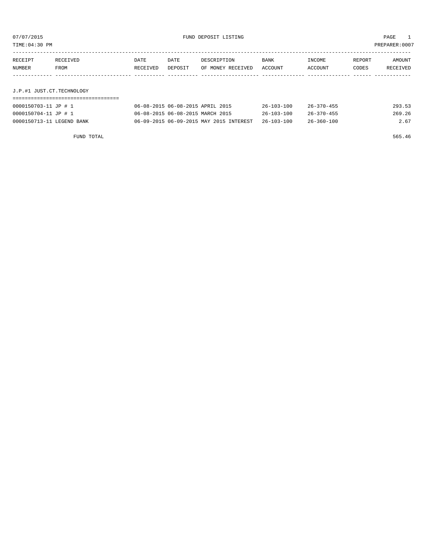TIME:04:30 PM PREPARER:0007

| RECEIPT | RECEIVED | DATE     | DATE    | DESCRIPTION       | <b>BANK</b> | INCOME  | REPORT | AMOUNT   |
|---------|----------|----------|---------|-------------------|-------------|---------|--------|----------|
| NUMBER  | FROM     | RECEIVED | DEPOSIT | OF MONEY RECEIVED | ACCOUNT     | ACCOUNT | CODES  | RECEIVED |
|         |          |          |         |                   |             |         |        |          |

# J.P.#1 JUST.CT.TECHNOLOGY

| 0000150703-11 JP # 1      | 06-08-2015 06-08-2015 APRIL 2015        | $26 - 103 - 100$ | $26 - 370 - 455$ | 293.53 |
|---------------------------|-----------------------------------------|------------------|------------------|--------|
| 0000150704-11 JP # 1      | 06-08-2015 06-08-2015 MARCH 2015        | $26 - 103 - 100$ | $26 - 370 - 455$ | 269.26 |
| 0000150713-11 LEGEND BANK | 06-09-2015 06-09-2015 MAY 2015 INTEREST | 26-103-100       | $26 - 360 - 100$ | 2.67   |

FUND TOTAL 565.46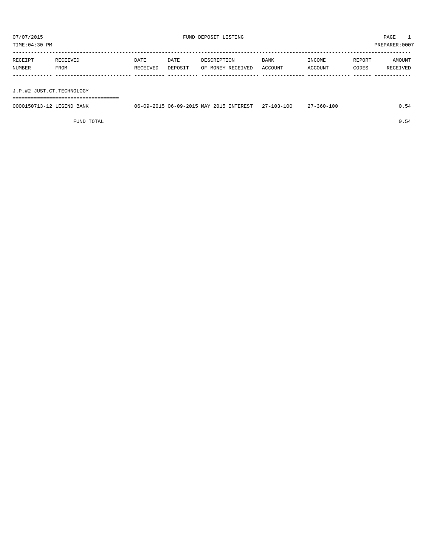TIME:04:30 PM PREPARER:0007

| INCOME<br>AMOUNT<br>REPORT   |
|------------------------------|
| ACCOUNT<br>CODES<br>RECEIVED |
|                              |
|                              |

J.P.#2 JUST.CT.TECHNOLOGY

===================================

| 0000150713-12 LEGEND BANK |  | 06-09-2015 06-09-2015 MAY 2015 INTEREST 27-103-100 | 27-360-100 | 0.54 |
|---------------------------|--|----------------------------------------------------|------------|------|
|                           |  |                                                    |            |      |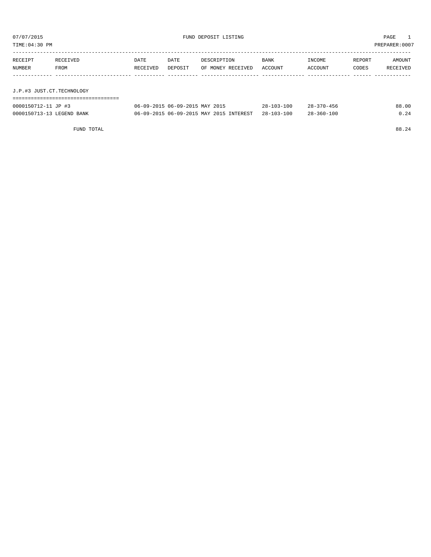| TIME:04:30 PM<br>PREPARER: 0007 |                               |                  |                                |                                  |                 |                   |                 |                    |
|---------------------------------|-------------------------------|------------------|--------------------------------|----------------------------------|-----------------|-------------------|-----------------|--------------------|
| RECEIPT<br>NUMBER               | RECEIVED<br>FROM              | DATE<br>RECEIVED | DATE<br>DEPOSIT                | DESCRIPTION<br>OF MONEY RECEIVED | BANK<br>ACCOUNT | INCOME<br>ACCOUNT | REPORT<br>CODES | AMOUNT<br>RECEIVED |
| J.P.#3 JUST.CT.TECHNOLOGY       |                               |                  |                                |                                  |                 |                   |                 |                    |
|                                 | ============================= |                  |                                |                                  |                 |                   |                 |                    |
| 0000150712-11 JP #3             |                               |                  | 06-09-2015 06-09-2015 MAY 2015 |                                  | 28-103-100      | $28 - 370 - 456$  |                 | 88.00              |

| 0000150713-13 LEGEND BANK | 06-09-2015 06-09-2015 MAY 2015 INTEREST 28-103-100 | $28 - 360 - 100$ | 0.24  |
|---------------------------|----------------------------------------------------|------------------|-------|
|                           |                                                    |                  |       |
| FUND TOTAL                |                                                    |                  | 88.24 |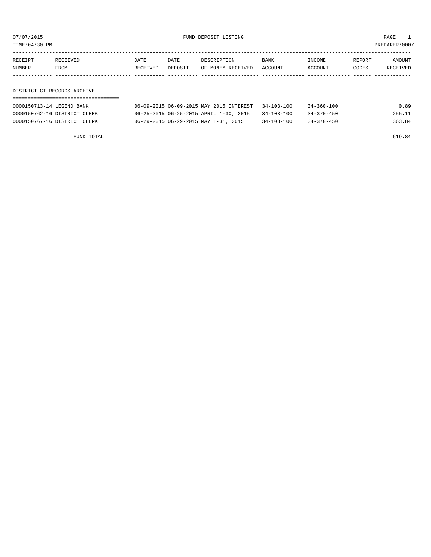or of the set of the set of the set of the set of the set of the set of the set of the set of the set of the set of the set of the set of the set of the set of the set of the set of the set of the set of the set of the set

| RECEIPT | <b>RECEIVED</b> | DATE     | DATE    | DESCRIPTION       | BANK    | INCOME  | REPORT | AMOUNT          |
|---------|-----------------|----------|---------|-------------------|---------|---------|--------|-----------------|
| NUMBER  | FROM            | RECEIVED | DEPOSIT | OF MONEY RECEIVED | ACCOUNT | ACCOUNT | CODES  | <b>RECEIVED</b> |
|         |                 |          |         |                   |         |         |        |                 |

DISTRICT CT.RECORDS ARCHIVE

| 0000150713-14 LEGEND BANK    | 06-09-2015 06-09-2015 MAY 2015 INTEREST | $34 - 103 - 100$ | 34-360-100       | 0.89   |
|------------------------------|-----------------------------------------|------------------|------------------|--------|
| 0000150762-16 DISTRICT CLERK | 06-25-2015 06-25-2015 APRIL 1-30, 2015  | $34 - 103 - 100$ | $34 - 370 - 450$ | 255.11 |
| 0000150767-16 DISTRICT CLERK | 06-29-2015 06-29-2015 MAY 1-31, 2015    | $34 - 103 - 100$ | $34 - 370 - 450$ | 363.84 |

FUND TOTAL 619.84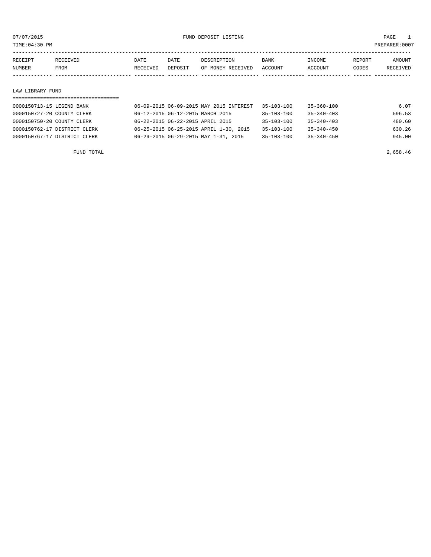07/07/2015 FUND DEPOSIT LISTING PAGE 1

| RECEIPT | RECEIVED | DATE     | DATE    | DESCRIPTION       | <b>BANK</b> | <b>TNCOME</b>  | REPORT | <b>AMOUNT</b> |
|---------|----------|----------|---------|-------------------|-------------|----------------|--------|---------------|
| NUMBER  | FROM     | RECEIVED | DEPOSIT | OF MONEY RECEIVED | ACCOUNT     | <b>ACCOUNT</b> | CODES  | RECEIVED      |
|         |          |          |         |                   |             |                |        |               |

#### LAW LIBRARY FUND

# =================================== 0000150713-15 LEGEND BANK 06-09-2015 06-09-2015 MAY 2015 INTEREST 35-103-100 35-360-100 6.07 0000150727-20 COUNTY CLERK 66-12-2015 06-12-2015 MARCH 2015 35-103-100 35-340-403 596.53 0000150750-20 COUNTY CLERK 06-22-2015 06-22-2015 APRIL 2015 35-103-100 35-340-403 480.60 0000150762-17 DISTRICT CLERK 06-25-2015 06-25-2015 APRIL 1-30, 2015 35-103-100 35-340-450 630.26 0000150767-17 DISTRICT CLERK 06-29-2015 06-29-2015 MAY 1-31, 2015 35-103-100 35-340-450 945.00

FUND TOTAL 2,658.46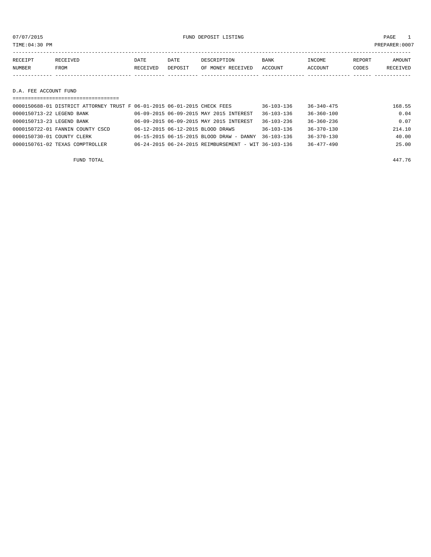### or of the set of the set of the set of the set of the set of the set of the set of the set of the set of the set of the set of the set of the set of the set of the set of the set of the set of the set of the set of the set

| RECEIPT | <b>RECEIVED</b> | DATE     | DATE    | DESCRIPTION       | <b>BANK</b> | INCOME  | REPORT | AMOUNT   |
|---------|-----------------|----------|---------|-------------------|-------------|---------|--------|----------|
| NUMBER  | FROM            | RECEIVED | DEPOSIT | OF MONEY RECEIVED | ACCOUNT     | ACCOUNT | CODES  | RECEIVED |
|         |                 |          |         |                   |             |         |        |          |

D.A. FEE ACCOUNT FUND

| ===================================                                      |  |                                                      |                  |                  |        |  |  |  |  |
|--------------------------------------------------------------------------|--|------------------------------------------------------|------------------|------------------|--------|--|--|--|--|
| 0000150688-01 DISTRICT ATTORNEY TRUST F 06-01-2015 06-01-2015 CHECK FEES |  |                                                      | $36 - 103 - 136$ | $36 - 340 - 475$ | 168.55 |  |  |  |  |
| 0000150713-22 LEGEND BANK                                                |  | 06-09-2015 06-09-2015 MAY 2015 INTEREST              | $36 - 103 - 136$ | $36 - 360 - 100$ | 0.04   |  |  |  |  |
| 0000150713-23 LEGEND BANK                                                |  | 06-09-2015 06-09-2015 MAY 2015 INTEREST              | $36 - 103 - 236$ | $36 - 360 - 236$ | 0.07   |  |  |  |  |
| 0000150722-01 FANNIN COUNTY CSCD                                         |  | 06-12-2015 06-12-2015 BLOOD DRAWS                    | 36-103-136       | 36-370-130       | 214.10 |  |  |  |  |
| 0000150730-01 COUNTY CLERK                                               |  | 06-15-2015 06-15-2015 BLOOD DRAW - DANNY             | $36 - 103 - 136$ | $36 - 370 - 130$ | 40.00  |  |  |  |  |
| 0000150761-02 TEXAS COMPTROLLER                                          |  | 06-24-2015 06-24-2015 REIMBURSEMENT - WIT 36-103-136 |                  | $36 - 477 - 490$ | 25.00  |  |  |  |  |
|                                                                          |  |                                                      |                  |                  |        |  |  |  |  |

FUND TOTAL 447.76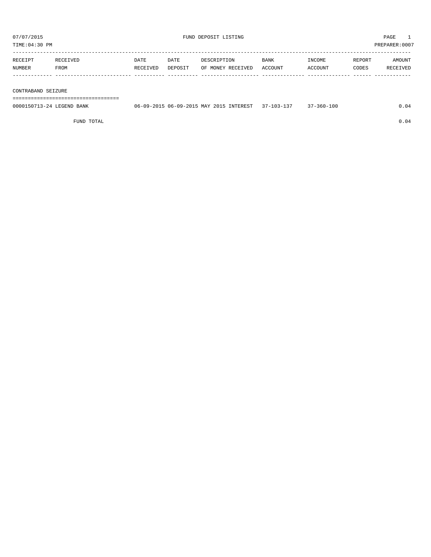TIME:04:30 PM PREPARER:0007

| RECEIPT | RECEIVED | DATE     | DATE    | DESCRIPTION       | <b>BANK</b> | <b>INCOME</b> | <b>REPORT</b> | AMOUNT          |
|---------|----------|----------|---------|-------------------|-------------|---------------|---------------|-----------------|
| NUMBER  | FROM     | RECEIVED | DEPOSIT | OF MONEY RECEIVED | ACCOUNT     | CCOUNT        | CODES         | <b>RECEIVED</b> |
|         |          |          |         |                   |             |               |               |                 |

#### CONTRABAND SEIZURE

===================================

| 0000150713-24 LEGEND BANK | 06-09-2015 06-09-2015 MAY 2015 INTEREST | $37 - 103 - 137$ | /-360-100 |  |
|---------------------------|-----------------------------------------|------------------|-----------|--|
|                           |                                         |                  |           |  |
|                           |                                         |                  |           |  |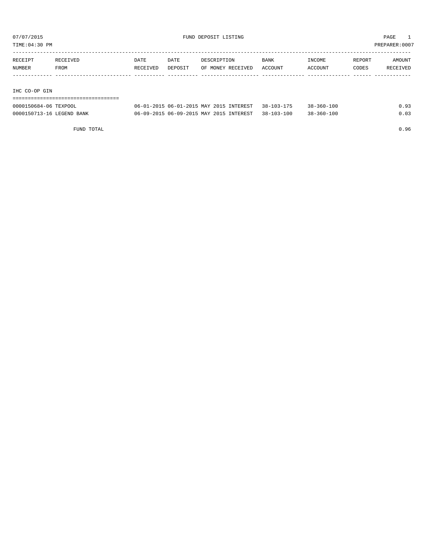07/07/2015 FUND DEPOSIT LISTING PAGE 1

TIME:04:30 PM PREPARER:0007

| RECEIPT | RECEIVED | DATE     | DATE    | DESCRIPTION       | <b>BANK</b> | INCOME  | REPORT | AMOUNT   |
|---------|----------|----------|---------|-------------------|-------------|---------|--------|----------|
| NUMBER  | FROM     | RECEIVED | DEPOSIT | OF MONEY RECEIVED | ACCOUNT     | ACCOUNT | CODES  | RECEIVED |
|         |          |          |         |                   |             |         |        |          |
|         |          |          |         |                   |             |         |        |          |

#### IHC CO-OP GIN

| 0000150684-06 TEXPOOL     | 06-01-2015 06-01-2015 MAY 2015 INTEREST 38-103-175 | $38 - 360 - 100$ | 0.93 |
|---------------------------|----------------------------------------------------|------------------|------|
| 0000150713-16 LEGEND BANK | 06-09-2015 06-09-2015 MAY 2015 INTEREST 38-103-100 | $38 - 360 - 100$ | 0.03 |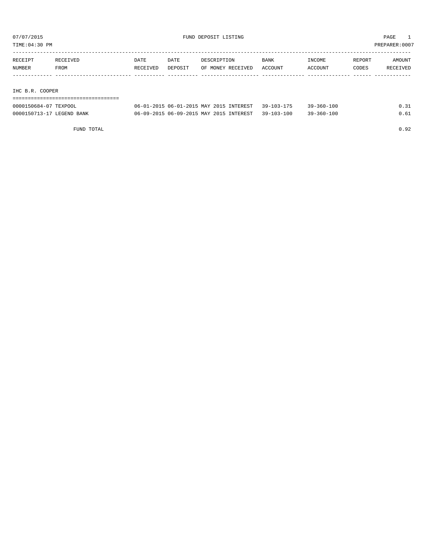TIME:04:30 PM PREPARER:0007

| RECEIPT         | RECEIVED | DATE     | DATE    | DESCRIPTION       | BANK    | INCOME  | REPORT | AMOUNT   |
|-----------------|----------|----------|---------|-------------------|---------|---------|--------|----------|
| NUMBER          | FROM     | RECEIVED | DEPOSIT | OF MONEY RECEIVED | ACCOUNT | ACCOUNT | CODES  | RECEIVED |
|                 |          |          |         |                   |         |         |        |          |
|                 |          |          |         |                   |         |         |        |          |
| IHC B.R. COOPER |          |          |         |                   |         |         |        |          |

| ================================= |                                                    |                  |      |
|-----------------------------------|----------------------------------------------------|------------------|------|
| 0000150684-07 TEXPOOL             | 06-01-2015 06-01-2015 MAY 2015 INTEREST 39-103-175 | $39 - 360 - 100$ | 0.31 |
| 0000150713-17 LEGEND BANK         | 06-09-2015 06-09-2015 MAY 2015 INTEREST 39-103-100 | $39 - 360 - 100$ | 0.61 |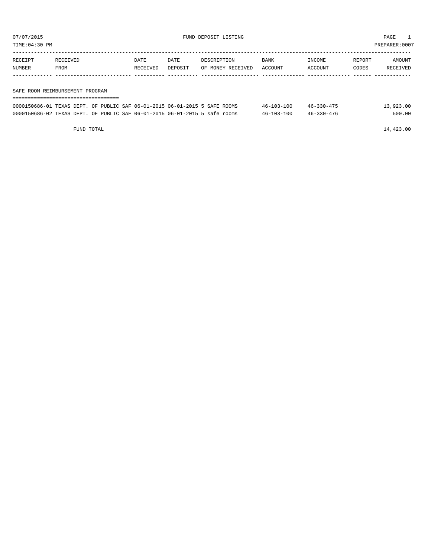TIME:04:30 PM PREPARER:0007

| RECEIPT | RECEIVED                        | DATE     | DATE    | DESCRIPTION       | BANK    | INCOME  | REPORT | AMOUNT   |  |  |
|---------|---------------------------------|----------|---------|-------------------|---------|---------|--------|----------|--|--|
| NUMBER  | FROM                            | RECEIVED | DEPOSIT | OF MONEY RECEIVED | ACCOUNT | ACCOUNT | CODES  | RECEIVED |  |  |
|         |                                 |          |         |                   |         |         |        |          |  |  |
|         |                                 |          |         |                   |         |         |        |          |  |  |
|         | SAFE ROOM REIMBURSEMENT PROGRAM |          |         |                   |         |         |        |          |  |  |

===================================

| 0000150686-01 TEXAS DEPT. OF PUBLIC SAF 06-01-2015 06-01-2015 5 SAFE ROOMS |  |  |  | $46 - 103 - 100$ | $46 - 330 - 475$ | 13,923.00 |
|----------------------------------------------------------------------------|--|--|--|------------------|------------------|-----------|
| 0000150686-02 TEXAS DEPT. OF PUBLIC SAF 06-01-2015 06-01-2015 5 safe rooms |  |  |  | $46 - 103 - 100$ | 46-330-476       | 500.00    |

FUND TOTAL 14,423.00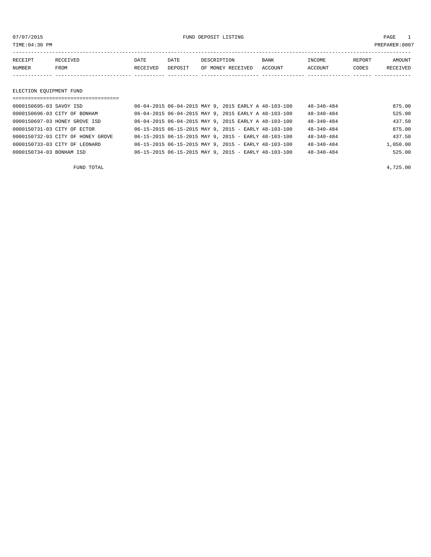or of the set of the set of the set of the set of the set of the set of the set of the set of the set of the set of the set of the set of the set of the set of the set of the set of the set of the set of the set of the set

| RECEIPT | <b>RECEIVED</b> | DATE     | DATE    | DESCRIPTION       | <b>BANK</b> | INCOME         | REPORT | AMOUNT          |
|---------|-----------------|----------|---------|-------------------|-------------|----------------|--------|-----------------|
| NUMBER  | FROM            | RECEIVED | DEPOSIT | OF MONEY RECEIVED | ACCOUNT     | <b>ACCOUNT</b> | CODES  | <b>RECEIVED</b> |
|         |                 |          |         |                   |             |                |        |                 |

#### ELECTION EQUIPMENT FUND

| ==================================== |                                                          |                  |          |
|--------------------------------------|----------------------------------------------------------|------------------|----------|
| 0000150695-03 SAVOY ISD              | 06-04-2015 06-04-2015 MAY 9, 2015 EARLY A 48-103-100     | $48 - 340 - 484$ | 875.00   |
| 0000150696-03 CITY OF BONHAM         | 06-04-2015 06-04-2015 MAY 9, 2015 EARLY A 48-103-100     | $48 - 340 - 484$ | 525.00   |
| 0000150697-03 HONEY GROVE ISD        | 06-04-2015 06-04-2015 MAY 9, 2015 EARLY A 48-103-100     | $48 - 340 - 484$ | 437.50   |
| 0000150731-03 CITY OF ECTOR          | $06-15-2015$ $06-15-2015$ MAY 9, 2015 - EARLY 48-103-100 | $48 - 340 - 484$ | 875.00   |
| 0000150732-03 CITY OF HONEY GROVE    | $06-15-2015$ $06-15-2015$ MAY 9, 2015 - EARLY 48-103-100 | $48 - 340 - 484$ | 437.50   |
| 0000150733-03 CITY OF LEONARD        | 06-15-2015 06-15-2015 MAY 9, 2015 - EARLY 48-103-100     | $48 - 340 - 484$ | 1,050.00 |
| 0000150734-03 BONHAM ISD             | $06-15-2015$ $06-15-2015$ MAY 9, 2015 - EARLY 48-103-100 | $48 - 340 - 484$ | 525.00   |

FUND TOTAL 4,725.00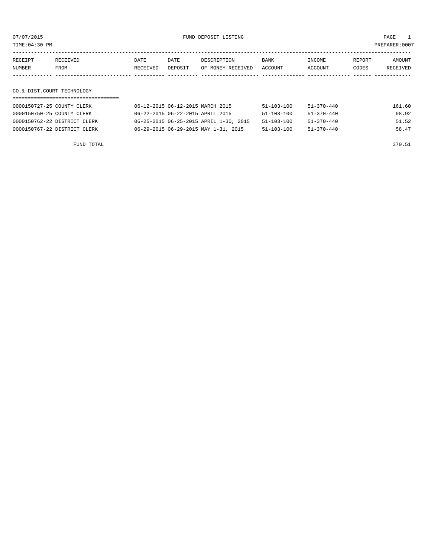07/07/2015 FUND DEPOSIT LISTING PAGE 1

TIME:04:30 PM PREPARER:0007

| RECEIPT | RECEIVED | DATE     | DATE    | DESCRIPTION               | <b>BANK</b> | INCOME  | REPORT | AMOUNT   |
|---------|----------|----------|---------|---------------------------|-------------|---------|--------|----------|
| NUMBER  | FROM     | RECEIVED | DEPOSIT | OF MONEY RECEIVED ACCOUNT |             | ACCOUNT | CODES  | RECEIVED |
|         |          |          |         |                           |             |         |        |          |

# CO.& DIST.COURT TECHNOLOGY

| 0000150727-25 COUNTY CLERK   | 06-12-2015 06-12-2015 MARCH 2015       | $51 - 103 - 100$ | $51 - 370 - 440$ | 161.60 |
|------------------------------|----------------------------------------|------------------|------------------|--------|
| 0000150750-25 COUNTY CLERK   | 06-22-2015 06-22-2015 APRIL 2015       | $51 - 103 - 100$ | $51 - 370 - 440$ | 98.92  |
| 0000150762-22 DISTRICT CLERK | 06-25-2015 06-25-2015 APRIL 1-30, 2015 | $51 - 103 - 100$ | 51-370-440       | 51.52  |
| 0000150767-22 DISTRICT CLERK | 06-29-2015 06-29-2015 MAY 1-31, 2015   | $51 - 103 - 100$ | 51-370-440       | 58.47  |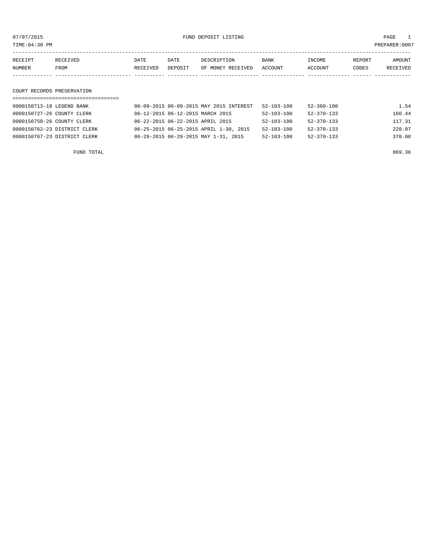or of the set of the set of the set of the set of the set of the set of the set of the set of the set of the set of the set of the set of the set of the set of the set of the set of the set of the set of the set of the set

| RECEIPT | <b>RECEIVED</b> | DATE     | DATE    | DESCRIPTION       | <b>BANK</b> | INCOME  | <b>REPORT</b> | AMOUNT          |
|---------|-----------------|----------|---------|-------------------|-------------|---------|---------------|-----------------|
| NUMBER  | <b>FROM</b>     | RECEIVED | DEPOSIT | OF MONEY RECEIVED | ACCOUNT     | ACCOUNT | CODES         | <b>RECEIVED</b> |
|         |                 |          |         |                   |             |         |               |                 |

### COURT RECORDS PRESERVATION

| 0000150713-18 LEGEND BANK    | 06-09-2015 06-09-2015 MAY 2015 INTEREST | $52 - 103 - 100$ | $52 - 360 - 100$ | 1.54   |
|------------------------------|-----------------------------------------|------------------|------------------|--------|
| 0000150727-26 COUNTY CLERK   | 06-12-2015 06-12-2015 MARCH 2015        | $52 - 103 - 100$ | $52 - 370 - 133$ | 160.44 |
| 0000150750-26 COUNTY CLERK   | 06-22-2015 06-22-2015 APRIL 2015        | $52 - 103 - 100$ | $52 - 370 - 133$ | 117.31 |
| 0000150762-23 DISTRICT CLERK | 06-25-2015 06-25-2015 APRIL 1-30, 2015  | $52 - 103 - 100$ | $52 - 370 - 133$ | 220.07 |
| 0000150767-23 DISTRICT CLERK | 06-29-2015 06-29-2015 MAY 1-31, 2015    | $52 - 103 - 100$ | $52 - 370 - 133$ | 370.00 |
|                              |                                         |                  |                  |        |

FUND TOTAL 869.36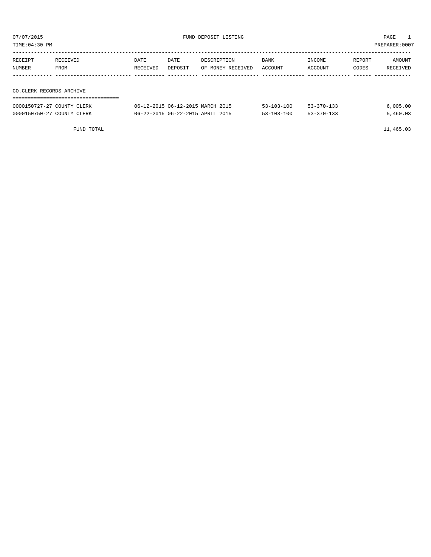| TIME:04:30 PM            |                            |          |         |                                  |                  |                  |        | PREPARER:0007 |
|--------------------------|----------------------------|----------|---------|----------------------------------|------------------|------------------|--------|---------------|
|                          |                            |          |         |                                  |                  |                  |        |               |
| RECEIPT                  | RECEIVED                   | DATE     | DATE    | DESCRIPTION                      | <b>BANK</b>      | INCOME           | REPORT | AMOUNT        |
| NUMBER                   | FROM                       | RECEIVED | DEPOSIT | OF MONEY RECEIVED                | ACCOUNT          | ACCOUNT          | CODES  | RECEIVED      |
|                          |                            |          |         |                                  |                  |                  |        |               |
|                          |                            |          |         |                                  |                  |                  |        |               |
| CO.CLERK RECORDS ARCHIVE |                            |          |         |                                  |                  |                  |        |               |
|                          |                            |          |         |                                  |                  |                  |        |               |
|                          | 0000150727-27 COUNTY CLERK |          |         | 06-12-2015 06-12-2015 MARCH 2015 | $53 - 103 - 100$ | $53 - 370 - 133$ |        | 6,005.00      |

0000150750-27 COUNTY CLERK 66-22-2015 06-22-2015 APRIL 2015 53-103-100 53-370-133 5,460.03

FUND TOTAL 11,465.03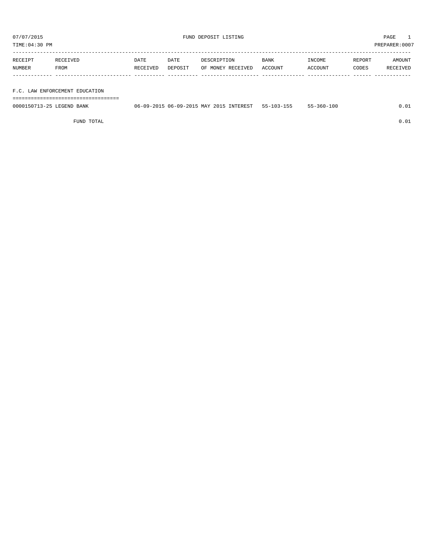TIME:04:30 PM PREPARER:0007

| RECEIPT | RECEIVED | DATE     | DATE    | DESCRIPTION       | <b>BANK</b> | INCOME  | REPORT | AMOUNT   |
|---------|----------|----------|---------|-------------------|-------------|---------|--------|----------|
| NUMBER  | FROM     | RECEIVED | DEPOSIT | OF MONEY RECEIVED | ACCOUNT     | ACCOUNT | CODES  | RECEIVED |
|         |          |          |         |                   |             |         |        |          |
|         |          |          |         |                   |             |         |        |          |

F.C. LAW ENFORCEMENT EDUCATION

===================================

| 0000150713-25 LEGEND BANK | 06-09-2015 06-09-2015 MAY 2015 INTEREST | $55 - 103 - 155$ | $55 - 360 - 100$ |  |
|---------------------------|-----------------------------------------|------------------|------------------|--|
|                           |                                         |                  |                  |  |
|                           |                                         |                  |                  |  |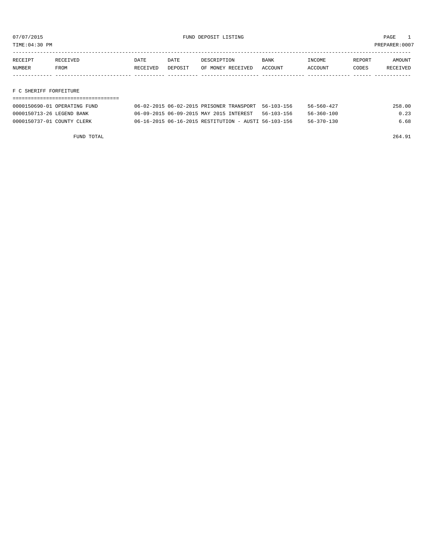TIME:04:30 PM PREPARER:0007

| RECEIPT | <b>RECEIVED</b> | DATE            | DATE    | DESCRIPTION       | <b>BANK</b> | 'NCOME        | REPORT | NMOUNT          |
|---------|-----------------|-----------------|---------|-------------------|-------------|---------------|--------|-----------------|
| NUMBER  | FROM            | <b>RECEIVED</b> | DEPOSIT | OF MONEY RECEIVED | ACCOUNT     | <b>CCOUNT</b> | CODES  | <b>RECEIVED</b> |
|         |                 |                 |         |                   |             |               |        |                 |

F C SHERIFF FORFEITURE

| 0000150690-01 OPERATING FUND | 06-02-2015 06-02-2015 PRISONER TRANSPORT 56-103-156  |            | $56 - 560 - 427$ | 258.00 |
|------------------------------|------------------------------------------------------|------------|------------------|--------|
| 0000150713-26 LEGEND BANK    | 06-09-2015 06-09-2015 MAY 2015 INTEREST              | 56-103-156 | 56-360-100       | 0.23   |
| 0000150737-01 COUNTY CLERK   | 06-16-2015 06-16-2015 RESTITUTION - AUSTI 56-103-156 |            | 56-370-130       | 6.68   |

FUND TOTAL 264.91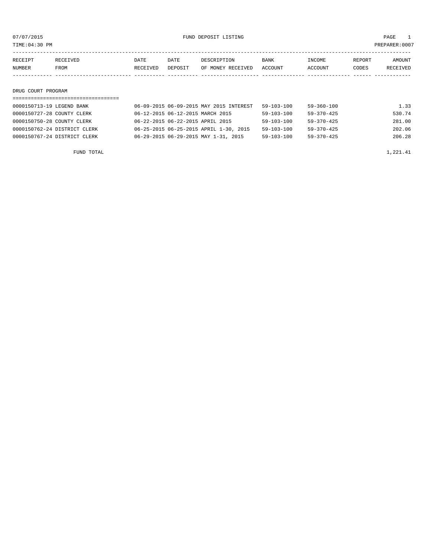07/07/2015 FUND DEPOSIT LISTING PAGE 1

| RECEIPT | <b>RECEIVED</b> | DATE            | DATE    | DESCRIPTION       | BANK    | <b>TNCOME</b> | REPORT | <b>AMOUNT</b>   |
|---------|-----------------|-----------------|---------|-------------------|---------|---------------|--------|-----------------|
| NUMBER  | FROM            | <b>RECEIVED</b> | DEPOSIT | OF MONEY RECEIVED | ACCOUNT | ACCOUNT       | CODES  | <b>RECEIVED</b> |
|         |                 |                 |         |                   |         |               |        |                 |

#### DRUG COURT PROGRAM

# =================================== 0000150713-19 LEGEND BANK 06-09-2015 06-09-2015 MAY 2015 INTEREST 59-103-100 59-360-100 1.33 0000150727-28 COUNTY CLERK 66-12-2015 06-12-2015 MARCH 2015 59-103-100 59-370-425 530.74 0000150750-28 COUNTY CLERK 06-22-2015 06-22-2015 APRIL 2015 59-103-100 59-370-425 281.00 0000150762-24 DISTRICT CLERK 06-25-2015 06-25-2015 APRIL 1-30, 2015 59-103-100 59-370-425 202.06 0000150767-24 DISTRICT CLERK 06-29-2015 06-29-2015 MAY 1-31, 2015 59-103-100 59-370-425 206.28

FUND TOTAL  $1,221.41$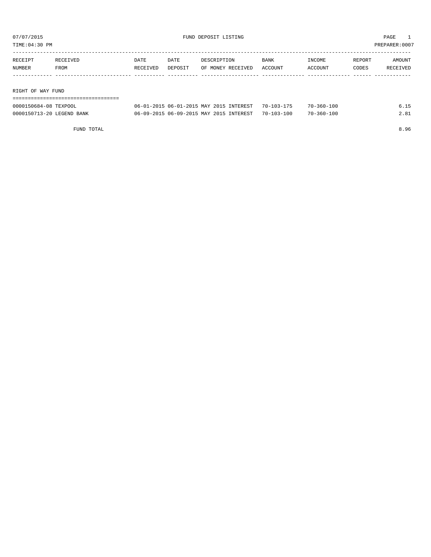07/07/2015 FUND DEPOSIT LISTING PAGE 1

| TIME: 04:30 PM<br>PREPARER: 0007 |          |          |         |                                         |                  |                  |        |          |  |
|----------------------------------|----------|----------|---------|-----------------------------------------|------------------|------------------|--------|----------|--|
| RECEIPT                          | RECEIVED | DATE     | DATE    | DESCRIPTION                             | <b>BANK</b>      | INCOME           | REPORT | AMOUNT   |  |
| NUMBER                           | FROM     | RECEIVED | DEPOSIT | OF MONEY RECEIVED                       | ACCOUNT          | ACCOUNT          | CODES  | RECEIVED |  |
| RIGHT OF WAY FUND                |          |          |         |                                         |                  |                  |        |          |  |
|                                  |          |          |         |                                         |                  |                  |        |          |  |
| 0000150684-08 TEXPOOL            |          |          |         | 06-01-2015 06-01-2015 MAY 2015 INTEREST | $70 - 103 - 175$ | $70 - 360 - 100$ |        | 6.15     |  |

0000150713-20 LEGEND BANK 06-09-2015 06-09-2015 MAY 2015 INTEREST 70-103-100 70-360-100 2.81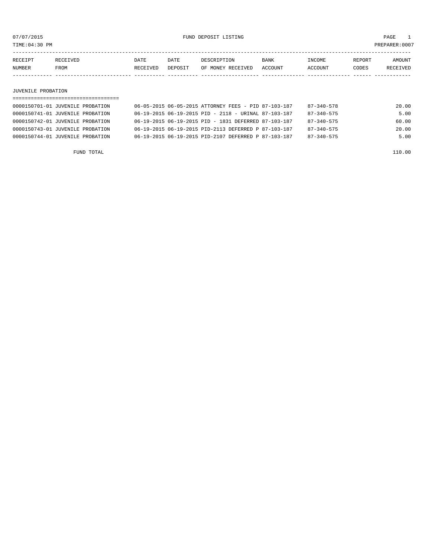TIME:04:30 PM PREPARER:0007

| RECEIPT<br>DATE<br><b>REPORT</b><br>DATE<br><b>RECEIVED</b><br>DESCRIPTION<br><b>BANK</b><br><b>TNCOME</b> | <b>NUMBER</b> | <b>FROM</b> | RECEIVED | DEPOSIT | OF MONEY RECEIVED ACCOUNT | <b>ACCOUNT</b> | CODES | <b>RECEIVED</b> |
|------------------------------------------------------------------------------------------------------------|---------------|-------------|----------|---------|---------------------------|----------------|-------|-----------------|
|                                                                                                            |               |             |          |         |                           |                |       | AMOUNT          |

#### JUVENILE PROBATION

| 0000150701-01 JUVENILE PROBATION |  |  | 06-05-2015 06-05-2015 ATTORNEY FEES - PID 87-103-187     | 87-340-578       | 20.00 |
|----------------------------------|--|--|----------------------------------------------------------|------------------|-------|
| 0000150741-01 JUVENILE PROBATION |  |  | $06-19-2015$ $06-19-2015$ PID - 2118 - URINAL 87-103-187 | $87 - 340 - 575$ | 5.00  |
| 0000150742-01 JUVENILE PROBATION |  |  | 06-19-2015 06-19-2015 PID - 1831 DEFERRED 87-103-187     | $87 - 340 - 575$ | 60.00 |
| 0000150743-01 JUVENILE PROBATION |  |  | 06-19-2015 06-19-2015 PID-2113 DEFERRED P 87-103-187     | $87 - 340 - 575$ | 20.00 |
| 0000150744-01 JUVENILE PROBATION |  |  | 06-19-2015 06-19-2015 PID-2107 DEFERRED P 87-103-187     | $87 - 340 - 575$ | 5.00  |
|                                  |  |  |                                                          |                  |       |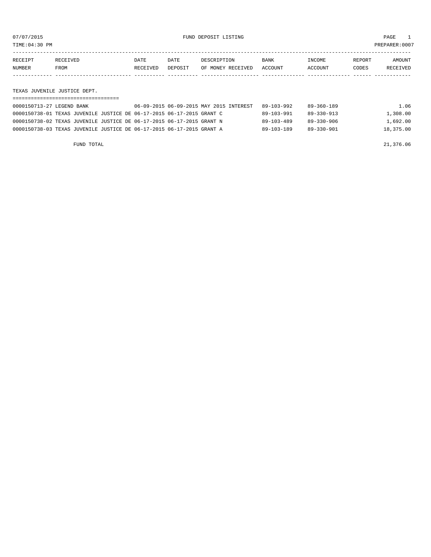TIME:04:30 PM PREPARER:0007

| RECEIPT | <b>RECEIVED</b> | DATE     | DATE           | DESCRIPTION       | <b>BANK</b> | <b>TNCOME</b> | REPORT | AMOUNT   |
|---------|-----------------|----------|----------------|-------------------|-------------|---------------|--------|----------|
| NUMBER  | FROM            | RECEIVED | <b>DEPOSIT</b> | OF MONEY RECEIVED | ACCOUNT     | ACCOUNT       | CODES  | RECEIVED |
|         |                 |          |                |                   |             |               |        |          |

TEXAS JUVENILE JUSTICE DEPT.

| 0000150713-27 LEGEND BANK                                             | 06-09-2015 06-09-2015 MAY 2015 INTEREST | 89-103-992 | 89-360-189 | 1.06      |
|-----------------------------------------------------------------------|-----------------------------------------|------------|------------|-----------|
| 0000150738-01 TEXAS JUVENILE JUSTICE DE 06-17-2015 06-17-2015 GRANT C |                                         | 89-103-991 | 89-330-913 | 1,308.00  |
| 0000150738-02 TEXAS JUVENILE JUSTICE DE 06-17-2015 06-17-2015 GRANT N |                                         | 89-103-489 | 89-330-906 | 1,692.00  |
| 0000150738-03 TEXAS JUVENILE JUSTICE DE 06-17-2015 06-17-2015 GRANT A |                                         | 89-103-189 | 89-330-901 | 18,375.00 |

FUND TOTAL 21,376.06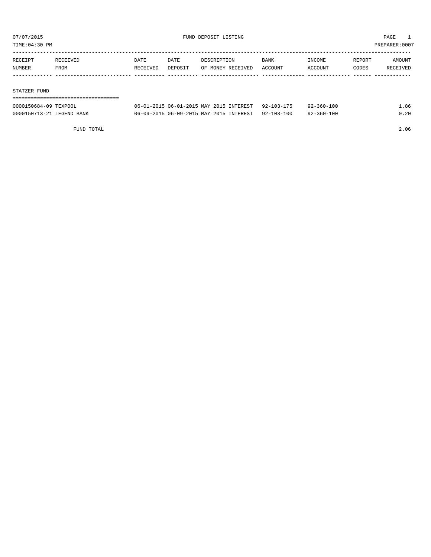07/07/2015 FUND DEPOSIT LISTING PAGE 1

TIME:04:30 PM PREPARER:0007

| RECEIPT | RECEIVED    | DATE     | DATE    | DESCRIPTION       | BANK    | INCOME         | REPORT | AMOUNT   |
|---------|-------------|----------|---------|-------------------|---------|----------------|--------|----------|
| NUMBER  | <b>FROM</b> | RECEIVED | DEPOSIT | OF MONEY RECEIVED | ACCOUNT | <b>ACCOUNT</b> | CODES  | RECEIVED |
|         |             |          |         |                   |         |                |        |          |
|         |             |          |         |                   |         |                |        |          |

#### STATZER FUND

| 0000150684-09 TEXPOOL     | 06-01-2015 06-01-2015 MAY 2015 INTEREST 92-103-175 | $92 - 360 - 100$ | 1.86 |
|---------------------------|----------------------------------------------------|------------------|------|
| 0000150713-21 LEGEND BANK | 06-09-2015 06-09-2015 MAY 2015 INTEREST 92-103-100 | $92 - 360 - 100$ | 0.20 |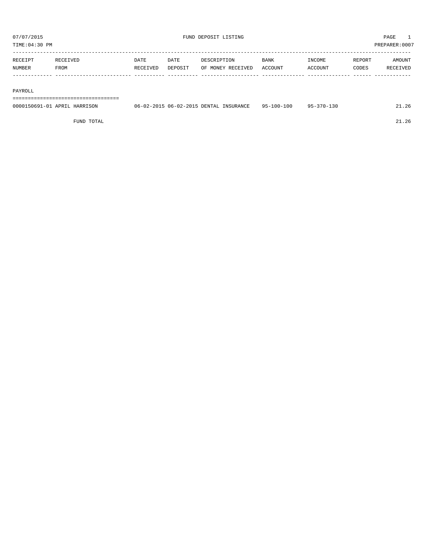TIME:04:30 PM PREPARER:0007

| RECEIPT       | <b>RECEIVED</b> | DATE     | DATE    | DESCRIPTION       | <b>BANK</b> | <b>TNCOME</b> | REPORT | AMOUNT          |
|---------------|-----------------|----------|---------|-------------------|-------------|---------------|--------|-----------------|
| <b>NUMBER</b> | FROM            | RECEIVED | DEPOSIT | OF MONEY RECEIVED | ACCOUNT     | ACCOUNT       | CODES  | <b>RECEIVED</b> |
|               |                 |          |         |                   |             |               |        |                 |

#### PAYROLL

===================================

| 0000150691-01<br><b>ADD TT</b><br>HARRISON | $06 - 02 - 2015$ $06 - 02 - 2015$<br>DENTAL<br>INSURANCE | -100-100<br>$QF -$ | -370-1<br>QF |  |
|--------------------------------------------|----------------------------------------------------------|--------------------|--------------|--|
|                                            |                                                          |                    |              |  |

FUND TOTAL 21.26